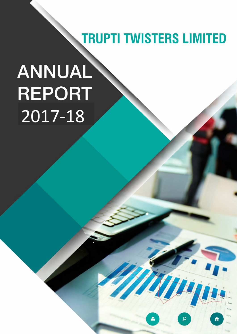# **TRUPTI TWISTERS LIMITED**

# ANNUAL **REPORT** 2017-18

**TRUPTI TWISTERS LIMITED AND SERVICE**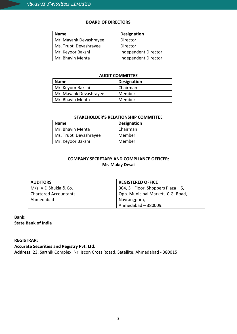# **BOARD OF DIRECTORS**

| <b>Name</b>            | <b>Designation</b>   |
|------------------------|----------------------|
| Mr. Mayank Devashrayee | Director             |
| Ms. Trupti Devashrayee | Director             |
| Mr. Keyoor Bakshi      | Independent Director |
| Mr. Bhavin Mehta       | Independent Director |

# **AUDIT COMMITTEE**

| <b>Name</b>            | <b>Designation</b> |
|------------------------|--------------------|
| Mr. Keyoor Bakshi      | Chairman           |
| Mr. Mayank Devashrayee | Member             |
| Mr. Bhavin Mehta       | Member             |

# **STAKEHOLDER'S RELATIONSHIP COMMITTEE**

| <b>Name</b>            | <b>Designation</b> |
|------------------------|--------------------|
| Mr. Bhavin Mehta       | Chairman           |
| Ms. Trupti Devashrayee | Member             |
| Mr. Keyoor Bakshi      | Member             |

# **COMPANY SECRETARY AND COMPLIANCE OFFICER: Mr. Malay Desai**

# **AUDITORS**

M/s. V.D Shukla & Co. Chartered Accountants Ahmedabad

# **REGISTERED OFFICE**

304,  $3<sup>rd</sup>$  Floor, Shoppers Plaza – 5, Opp. Municipal Market, C.G. Road, Navrangpura, Ahmedabad – 380009.

# **Bank: State Bank of India**

# **REGISTRAR:**

**Accurate Securities and Registry Pvt. Ltd.**

**Address:** 23, Sarthik Complex, Nr. Iscon Cross Roasd, Satellite, Ahmedabad - 380015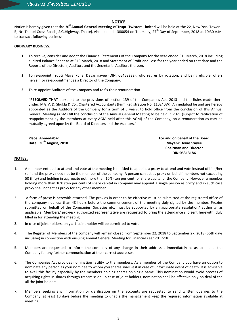# **NOTICE**

Notice is hereby given that the 30<sup>th</sup>Annual General Meeting of Trupti Twisters Limited will be held at the 22, New York Tower – B, Nr. Thaltej Cross Roads, S.G.Highway, Thaltej, Ahmedabad - 380054 on Thursday, 27<sup>th</sup> Day of September, 2018 at 10:30 A.M. to transact following business:

# **ORDINARY BUSINESS:**

- 1. To receive, consider and adopt the Financial Statements of the Company for the year ended 31<sup>st</sup> March, 2018 including audited Balance Sheet as at 31<sup>st</sup> March, 2018 and Statement of Profit and Loss for the year ended on that date and the Reports of the Directors, Auditors and the Secretarial Auditors thereon.
- **2.** To re-appoint Trupti Mayankbhai Devashrayee (DIN: 06468232), who retires by rotation, and being eligible, offers herself for re-appointment as a Director of the Company.
- **3.** To re-appoint Auditors of the Company and to fix their remuneration.

**"RESOLVED THAT** pursuant to the provisions of section 139 of the Companies Act, 2013 and the Rules made there under, M/s V. D. Shukla & Co., Chartered Accountants (Firm Registration No. 110240W), Ahmedabad be and are hereby appointed as the Auditors of the Company for a term of 5 years, to hold office from the conclusion of this Annual General Meeting (AGM) till the conclusion of the Annual General Meeting to be held in 2021 (subject to ratification of reappointment by the members at every AGM held after this AGM) of the Company, on a remuneration as may be mutually agreed upon by the Board of Directors and the Auditors."

**Place: Ahmedabad Date: 30th August, 2018** **For and on behalf of the Board Mayank Devashrayee Chairman and Director DIN:05313186**

# **NOTES:**

- 1. A member entitled to attend and vote at the meeting is entitled to appoint a proxy to attend and vote instead of him/her self and the proxy need not be the member of the company. A person can act as proxy on behalf members not exceeding 50 (fifty) and holding in aggregate not more than 10% (ten per cent) of share capital of the Company. However a member holding more than 10% (ten per cent) of share capital in company may appoint a single person as proxy and in such case proxy shall not act as proxy for any other member.
- 2. A form of proxy is herewith attached. The proxies in order to be effective must be submitted at the registered office of the company not less than 48 hours before the commencement of the meeting duly signed by the member. Proxies submitted on behalf of the Companies, Societies etc. must be supported by an appropriate resolution/ authority, as applicable. Members/ proxies/ authorized representative are requested to bring the attendance slip sent herewith, duly filled in for attending the meeting.
- 3. In case of joint holders, only a 1 Joint holder will be permitted to vote.
- 4. The Register of Members of the company will remain closed from September 22, 2018 to September 27, 2018 (both days inclusive) in connection with ensuing Annual General Meeting for Financial Year 2017-18.
- 5. Members are requested to inform the company of any change in their addresses immediately so as to enable the Company for any further communication at their correct addresses.
- 6. The Companies Act provides nomination facility to the members. As a member of the Company you have an option to nominate any person as your nominee to whom you shares shall vest in case of unfortunate event of death. It is advisable to avail this facility especially by the members holding shares on single name. This nomination would avoid process of acquiring rights in shares through transmission. In case of joint holders, nomination shall be effective only on deal of the all the joint holders.
- 7. Members seeking any information or clarification on the accounts are requested to send written quarries to the Company; at least 10 days before the meeting to unable the management keep the required information available at meeting.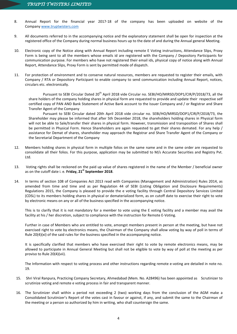- 8. Annual Report for the financial year 2017-18 of the company has been uploaded on website of the Company www.truptwisters.com
- 9. All documents referred to in the accompanying notice and the explanatory statement shall be open for inspection at the registered office of the Company during normal business hours up to the date of and during the Annual general Meeting.
- 10. Electronic copy of the Notice along with Annual Report including remote E Voting instructions, Attendance Slips, Proxy Form is being sent to all the members whose emails id are registered with the Company / Depository Participants for communication purpose. For members who have not registered their email ids, physical copy of notice along with Annual Report, Attendance Slips, Proxy Form is sent by permitted mode of dispatch.
- 11. For protection of environment and to conserve natural resources, members are requested to register their emails, with Company / RTA or Depository Participant to enable company to send communication including Annual Report, notices, circulars etc. electronically.

Pursuant to SEBI Circular Dated 20<sup>th</sup> April 2018 vide Circular no. SEBI/HO/MIRSD/DOP1/CIR/P/2018/73, all the share holders of the company holding shares in physical form are requested to provide and update their respective self certified copy of PAN AND Bank Statement of Active Bank account to the Issuer Company and / or Registrar and Share Transfer Agent of the Company

Pursuant to SEBI Circular dated 20th April 2018 vide circular no. SEBI/HO/MIRSD/DOP1/CIR/P/2018/73, the Shareholder may please be informed that after 5th December 2018, the shareholders holding shares in Physical form will not be able to Sale/transfer their shares in physical form. However, transmission and transposition of Shares shall be permitted in Physical Form. Hence Shareholders are again requested to get their shares demated. For any help / assistance for Demat of shares, shareholder may approach the Registrar and Share Transfer Agent of the Company or the Secretarial Department of the Company

- 12. Members holding shares in physical form in multiple folios on the same name and in the same order are requested to consolidate all their folios. For this purpose, application may be submitted to M/s Accurate Securities and Registry Pvt. Ltd.
- 13. Voting rights shall be reckoned on the paid up value of shares registered in the name of the Member / beneficial owner as on the cutoff date i. e. **Friday, 21st September 2018**.
- 14. In terms of section 108 of Companies Act 2013 read with Companies (Management and Administration) Rules 2014, as amended from time and time and as per Regulation 44 of SEBI (Listing Obligation and Disclosure Requirements) Regulations 2015, the Company is pleased to provide the e voting facility through Central Depository Services Limited (CDSL) to its members holding shares in physical or dematerialized form, as on cutoff date to exercise their right to vote by electronic means on any or all of the business specified in the accompanying notice.

This is to clarify that it is not mandatory for a member to vote using the E voting facility and a member may avail the facility at his / her discretion, subject to compliance with the instruction for Remote E-Voting.

Further in case of Members who are entitled to vote, amongst members present in person at the meeting, but have not exercised right to vote by electronics means, the Chairman of the Company shall allow voting by way of poll in terms of Rule 20(4)(xi) of the said rules for the business specified in the accompanying notice.

It is specifically clarified that members who have exercised their right to vote by remote electronics means, may be allowed to participate in Annual General Meeting but shall not be eligible to vote by way of poll at the meeting as per proviso to Rule 20(4)(vii).

The Information with respect to voting process and other instructions regarding remote e-voting are detailed in note no. 19.

- 15. Shri Viral Ranpura, Practicing Company Secretary, Ahmedabad (Mem. No. A28496) has been appointed as Scrutinizer to scrutinize voting and remote e voting process in fair and transparent manner.
- 16. The Scrutinizer shall within a period not exceeding 2 (two) working days from the conclusion of the AGM make a Consolidated Scrutinizer's Report of the votes cast in favour or against, if any, and submit the same to the Chairman of the meeting or a person so authorized by him in writing, who shall countersign the same.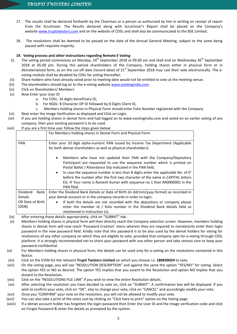- 17. The results shall be declared forthwith by the Chairman or a person so authorized by him in writing on receipt of report from the Scrutinizer. The Results declared along with Scrutinizer's Report shall be placed on the Company's website [www.truptitwisters.com](http://www.truptitwisters.com/) and on the website of CDSL and shall also be communicated to the BSE Limited.
- 18. The resolutions shall be deemed to be passed on the date of the Annual General Meeting, subject to the same being passed with requisite majority.

# **19. Voting process and other instructions regarding Remote E Voting**

- (i) The voting period commences on Monday,  $24^{th}$  September 2018 at 09.00 am and shall end on Wednesday  $26^{th}$  September 2018 at 05.00 pm. During this period shareholders of the Company, holding shares either in physical form or in dematerialized form, as on the cut-off date (record date) of 21<sup>st</sup> September 2018 may cast their vote electronically. The evoting module shall be disabled by CDSL for voting thereafter.
- (ii) Share holders who have already voted prior to meeting date would not be entitled to vote at the meeting venue.
- (iii) The shareholders should log on to the e-voting website [www.evotingindia.com.](http://www.evotingindia.com/)
- (iv) Click on Shareholders/ Members
- (v) Now Enter your User ID
	- a. For CDSL: 16 digits beneficiary ID,
	- b. For NSDL: 8 Character DP ID followed by 8 Digits Client ID,
	- c. Members holding shares in Physical Form should enter Folio Number registered with the Company
- (vi) Next enter the Image Verification as displayed and Click on Login.
- (vii) If you are holding shares in demat form and had logged on to [www.evotingindia.com](http://www.evotingindia.com/) and voted on an earlier voting of any company, then your existing password is to be used.

# (viii) If you are a first time user follow the steps given below:

|                  | For Members holding shares in Demat Form and Physical Form                                                                                                                                                                                                                                                                                                                                                                                                                                               |  |  |
|------------------|----------------------------------------------------------------------------------------------------------------------------------------------------------------------------------------------------------------------------------------------------------------------------------------------------------------------------------------------------------------------------------------------------------------------------------------------------------------------------------------------------------|--|--|
| <b>PAN</b>       | Enter your 10 digit alpha-numeric PAN issued by Income Tax Department (Applicable<br>for both demat shareholders as well as physical shareholders)                                                                                                                                                                                                                                                                                                                                                       |  |  |
|                  | Members who have not updated their PAN with the Company/Depository<br>$\bullet$<br>Participant are requested to use the sequence number which is printed on<br>Postal Ballot / Attendance Slip indicated in the PAN field.<br>In case the sequence number is less than 8 digits enter the applicable No. of 0'<br>$\bullet$<br>before the number after the first two character of the name in CAPITAL letters<br>EG. IF Your name is Ramesh Kumar with sequence no 1 than RA0000001 in the<br>PAN filed. |  |  |
| Dividend<br>Bank | Enter the Dividend Bank Details or Date of Birth (in dd/mm/yyyy format) as recorded in                                                                                                                                                                                                                                                                                                                                                                                                                   |  |  |
| <b>Details</b>   | your demat account or in the company records in order to login.                                                                                                                                                                                                                                                                                                                                                                                                                                          |  |  |
| OR Date of Birth | If both the details are not recorded with the depository or company please<br>$\bullet$                                                                                                                                                                                                                                                                                                                                                                                                                  |  |  |
| (DOB)            | enter the member id / folio number in the Dividend Bank details field as<br>mentioned in instruction $(v)$ .                                                                                                                                                                                                                                                                                                                                                                                             |  |  |

- (ix) After entering these details appropriately, click on "SUBMIT" tab.
- (x) Members holding shares in physical form will then directly reach the Company selection screen. However, members holding shares in demat form will now reach 'Password Creation' menu wherein they are required to mandatorily enter their login password in the new password field. Kindly note that this password is to be also used by the demat holders for voting for resolutions of any other company on which they are eligible to vote, provided that company opts for e-voting through CDSL platform. It is strongly recommended not to share your password with any other person and take utmost care to keep your password confidential.
- (xi) For Members holding shares in physical form, the details can be used only for e-voting on the resolutions contained in this Notice.
- (xii) Click on the EVSN for the relevant **Trupti Twisters Limited** on which you choose i.e. **180830024**  to vote.
- (xiii) On the voting page, you will see "RESOLUTION DESCRIPTION" and against the same the option "YES/NO" for voting. Select the option YES or NO as desired. The option YES implies that you assent to the Resolution and option NO implies that you dissent to the Resolution.
- (xiv) Click on the "RESOLUTIONS FILE LINK" if you wish to view the entire Resolution details.
- (xv) After selecting the resolution you have decided to vote on, click on "SUBMIT". A confirmation box will be displayed. If you wish to confirm your vote, click on "OK", else to change your vote, click on "CANCEL" and accordingly modify your vote.
- (xvi) Once you "CONFIRM" your vote on the resolution, you will not be allowed to modify your vote.
- (xvii) You can also take a print of the votes cast by clicking on "Click here to print" option on the Voting page.
- (xviii) If a demat account holder has forgotten the login password then Enter the User ID and the image verification code and click on Forgot Password & enter the details as prompted by the system.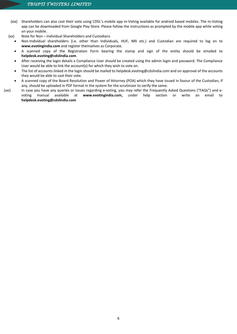- (xix) Shareholders can also cast their vote using CDSL's mobile app m-Voting available for android based mobiles. The m-Voting app can be downloaded from Google Play Store. Please follow the instructions as prompted by the mobile app while voting on your mobile.
- (xx) Note for Non Individual Shareholders and Custodians
	- Non-Individual shareholders (i.e. other than Individuals, HUF, NRI etc.) and Custodian are required to log on to **[www.evotingindia.com](http://www.evotingindia.com/)** and register themselves as Corporate.
	- A scanned copy of the Registration Form bearing the stamp and sign of the entity should be emailed to **[helpdesk.evoting@cdslindia.com](mailto:helpdesk.evoting@cdslindia.com)**.
	- After receiving the login details a Compliance User should be created using the admin login and password. The Compliance User would be able to link the account(s) for which they wish to vote on.
	- The list of accounts linked in the login should be mailed to helpdesk.evoting@cdslindia.com and on approval of the accounts they would be able to cast their vote.
	- A scanned copy of the Board Resolution and Power of Attorney (POA) which they have issued in favour of the Custodian, if any, should be uploaded in PDF format in the system for the scrutinizer to verify the same.
- (xxi) In case you have any queries or issues regarding e-voting, you may refer the Frequently Asked Questions ("FAQs") and evoting manual available at **[www.evotingindia.com,](http://www.evotingindia.com/)** under help section or write an email to **[helpdesk.evoting@cdslindia.com](mailto:helpdesk.evoting@cdslindia.com)**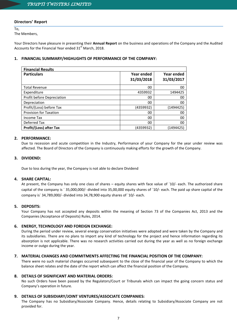# **Directors' Report**

To,

The Members,

Your Directors have pleasure in presenting their **Annual Report** on the business and operations of the Company and the Audited Accounts for the Financial Year ended  $31<sup>st</sup>$  March, 2018.

# **1. FINANCIAL SUMMARY/HIGHLIGHTS OF PERFORMANCE OF THE COMPANY:**

| <b>Financial Results</b>       |            |            |  |  |
|--------------------------------|------------|------------|--|--|
| <b>Particulars</b>             | Year ended | Year ended |  |  |
|                                | 31/03/2018 | 31/03/2017 |  |  |
| <b>Total Revenue</b>           | 00         | 00         |  |  |
| Expenditure                    | 4359932    | 1494425    |  |  |
| Profit before Depreciation     | 00         | 00         |  |  |
| Depreciation                   | 00         | 00         |  |  |
| Profit/(Loss) before Tax       | (4359932)  | (1494425)  |  |  |
| <b>Provision for Taxation</b>  | 00         | 00         |  |  |
| Income Tax                     | 00         | 00         |  |  |
| Deferred Tax                   | 00         | 00         |  |  |
| <b>Profit/(Loss) after Tax</b> | (4359932)  | (1494425)  |  |  |

# **2. PERFORMANCE:**

Due to recession and acute competition in the Industry, Performance of your Company for the year under review was affected. The Board of Directors of the Company is continuously making efforts for the growth of the Company.

# **3. DIVIDEND:**

Due to loss during the year, the Company is not able to declare Dividend

# **4. SHARE CAPITAL:**

At present, the Company has only one class of shares – equity shares with face value of `10/- each. The authorized share capital of the company is ` 35,000,000/- divided into 35,00,000 equity shares of `10/- each. The paid up share capital of the company is` 34,789,000/- divided into 34,78,900 equity shares of `10/- each.

# **5. DEPOSITS:**

Your Company has not accepted any deposits within the meaning of Section 73 of the Companies Act, 2013 and the Companies (Acceptance of Deposits) Rules, 2014.

# **6. ENERGY, TECHNOLOGY AND FOREIGN EXCHANGE:**

During the period under review, several energy conservation initiatives were adopted and were taken by the Company and its subsidiaries. There are no plans to import any kind of technology for the project and hence information regarding its absorption is not applicable. There was no research activities carried out during the year as well as no foreign exchange income or outgo during the year.

# **7. MATERIAL CHANGES AND COMMITMENTS AFFECTING THE FINANCIAL POSITION OF THE COMPANY:**

There were no such material changes occurred subsequent to the close of the financial year of the Company to which the balance sheet relates and the date of the report which can affect the financial position of the Company.

# **8. DETAILS OF SIGNIFICANT AND MATERIAL ORDERS:**

No such Orders have been passed by the Regulators/Court or Tribunals which can impact the going concern status and Company's operation in future.

# **9. DETAILS OF SUBSIDIARY/JOINT VENTURES/ASSOCIATE COMPANIES:**

The Company has no Subsidiary/Associate Company. Hence, details relating to Subsidiary/Associate Company are not provided for.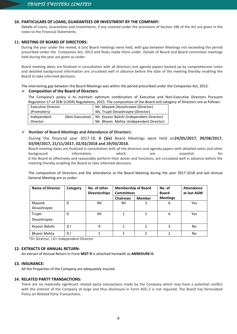# **10. PARTICULARS OF LOANS, GUARANTEES OR INVESTMENT BY THE COMPANY:**

Details of Loans, Guarantees and Investments, if any covered under the provisions of Section 186 of the Act are given in the notes to the Financial Statements.

# **11. MEETING OF BOARD OF DIRECTORS:**

During the year under the review, 6 (six) Board meetings were held, with gap between Meetings not exceeding the period prescribed under the Companies Act, 2013 and Rules made there under. Details of Board and Board committee meetings held during the year are given as under:

Board meeting dates are finalized in consultation with all directors and agenda papers backed up by comprehensive notes and detailed background information are circulated well in advance before the date of the meeting thereby enabling the Board to take informed decisions.

The intervening gap between the Board Meetings was within the period prescribed under the Companies Act, 2013.

# **Composition of the Board of Directors**

The Company's policy is to maintain optimum combination of Executive and Non-Executive Directors Pursuant Regulation 17 of SEBI (LODR) Regulations, 2015. The composition of the Board and category of Directors are as follows:

| Executive Director |                 | Mr. Mayank Devashrayee (Director)        |
|--------------------|-----------------|------------------------------------------|
| (Promoters)        |                 | Ms. Trupti Devashrayee (Director)        |
| Independent        | (Non-Executive) | Mr. Keyoor Bakshi (Independent Director) |
| Director           |                 | Mr. Bhavin Mehta (Independent Director)  |

# **Number of Board Meetings and Attendance of Directors:**

During the financial year 2017-18, **6 (Six)** Board Meetings were held on**24/05/2017, 09/08/2017, 03/09/2017, 21/11/2017, 02/02/2018 and 29/03/2018.** 

Board meeting dates are finalized in consultation with all the directors and agenda papers with detailed notes and other background information, which are essential for 0 the Board to effectively and reasonably perform their duties and functions, are circulated well in advance before the meeting thereby enabling the Board to take informed decisions.

The composition of Directors and the attendance at the Board Meeting during the year 2017-2018 and last Annual General Meeting are as under:

| <b>Name of Director</b> | Category | No. of other<br><b>Directorships</b> | <b>Membership of Board</b><br><b>Committees</b> |                | No. of<br><b>Board</b> | Attendance<br>at last AGM |
|-------------------------|----------|--------------------------------------|-------------------------------------------------|----------------|------------------------|---------------------------|
|                         |          |                                      | Chairman                                        | <b>Member</b>  | <b>Meetings</b>        |                           |
| Mayank<br>Devashrayee   | D        | Nil                                  | Nil                                             | 3              | 6                      | Yes                       |
| Trupti                  | D        | Nil                                  |                                                 | 2              | 6                      | <b>Yes</b>                |
| Devashrayee             |          |                                      |                                                 |                |                        |                           |
| Keyoor Bakshi           | D.I      | 9                                    | 1                                               | $\mathfrak{p}$ | 3                      | No                        |
| <b>Bhavin Mehta</b>     | D.I      |                                      |                                                 | $\overline{2}$ |                        | No                        |

\*D= Director, I.D= Independent Director

# **12. EXTRACTS OF ANNUAL RETURN:**

An extract of Annual Return in Form **MGT-9** is attached herewith as **ANNEXURE-II.**

# **13. INSURANCE:**

All the Properties of the Company are adequately insured.

# **14. RELATED PARTY TRANSACTIONS:**

There are no materially significant related party transactions made by the Company which may have a potential conflict with the interest of the Company at large and thus disclosure in Form AOC-2 is not required. The Board has formulated Policy on Related Party Transactions.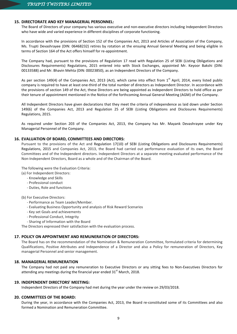# **15. DIRECTORATE AND KEY MANAGERIAL PERSONNEL:**

The Board of Directors of your company has various executive and non-executive directors including Independent Directors who have wide and varied experience in different disciplines of corporate functioning.

In accordance with the provisions of Section 152 of the Companies Act, 2013 and Articles of Association of the Company, Ms. Trupti Devashrayee (DIN: 06468232) retires by rotation at the ensuing Annual General Meeting and being eligible in terms of Section 164 of the Act offers himself for re-appointment.

The Company had, pursuant to the provisions of Regulation 17 read with Regulation 25 of SEBI (Listing Obligations and Disclosures Requirements) Regulations, 2015 entered into with Stock Exchanges, appointed Mr. Keyoor Bakshi (DIN: 00133588) and Mr. Bhavin Mehta (DIN: 00023850), as an Independent Directors of the Company.

As per section 149(4) of the Companies Act, 2013 (Act), which came into effect from 1<sup>st</sup> April, 2014, every listed public company is required to have at least one-third of the total number of directors as Independent Director. In accordance with the provisions of section 149 of the Act, these Directors are being appointed as Independent Directors to hold office as per their tenure of appointment mentioned in the Notice of the forthcoming Annual General Meeting (AGM) of the Company.

All Independent Directors have given declarations that they meet the criteria of independence as laid down under Section 149(6) of the Companies Act, 2013 and Regulation 25 of SEBI (Listing Obligations and Disclosures Requirements) Regulations, 2015.

As required under Section 203 of the Companies Act, 2013, the Company has Mr. Mayank Devashrayee under Key Managerial Personnel of the Company.

# **16. EVALUATION OF BOARD, COMMITTEES AND DIRECTORS:**

Pursuant to the provisions of the Act and Regulation 17(10) of SEBI (Listing Obligations and Disclosures Requirements) Regulations, 2015 and Companies Act, 2013, the Board had carried out performance evaluation of its own, the Board Committees and of the Independent directors. Independent Directors at a separate meeting evaluated performance of the Non-Independent Directors, Board as a whole and of the Chairman of the Board.

The following were the Evaluation Criteria:

- (a) For Independent Directors:
	- Knowledge and Skills
	- Professional conduct
	- Duties, Role and functions

# (b) For Executive Directors:

- Performance as Team Leader/Member.
- Evaluating Business Opportunity and analysis of Risk Reward Scenarios
- Key set Goals and achievements
- Professional Conduct, Integrity
- Sharing of Information with the Board

The Directors expressed their satisfaction with the evaluation process.

# **17. POLICY ON APPOINTMENT AND REMUNERATION OF DIRECTORS:**

The Board has on the recommendation of the Nomination & Remuneration Committee, formulated criteria for determining Qualifications, Positive Attributes and Independence of a Director and also a Policy for remuneration of Directors, Key managerial Personnel and senior management.

# **18. MANAGERIAL REMUNERATION**

The Company had not paid any remuneration to Executive Directors or any sitting fees to Non-Executives Directors for attending any meetings during the financial year ended  $31<sup>st</sup>$  March, 2018.

# **19. INDEPENDENT DIRECTORS' MEETING:**

Independent Directors of the Company had met during the year under the review on 29/03/2018.

# **20. COMMITTEES OF THE BOARD:**

During the year, in accordance with the Companies Act, 2013, the Board re-constituted some of its Committees and also formed a Nomination and Remuneration Committee.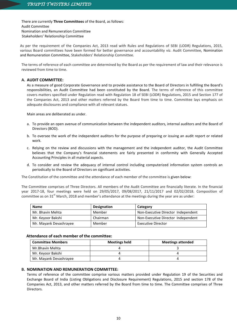There are currently **Three Committees** of the Board, as follows: Audit Committee Nomination and Remuneration Committee Stakeholders' Relationship Committee

As per the requirement of the Companies Act, 2013 read with Rules and Regulations of SEBI (LODR) Regulations, 2015, various Board committees have been formed for better governance and accountability viz. Audit Committee, Nomination and Remuneration Committee, Stakeholders' Relationship Committee.

The terms of reference of each committee are determined by the Board as per the requirement of law and their relevance is reviewed from time to time.

# **A. AUDIT COMMITTEE:**

As a measure of good Corporate Governance and to provide assistance to the Board of Directors in fulfilling the Board's responsibilities, an Audit Committee had been constituted by the Board. The terms of reference of this committee covers matters specified under Regulation read with Regulation 18 of SEBI (LODR) Regulations, 2015 and Section 177 of the Companies Act, 2013 and other matters referred by the Board from time to time. Committee lays emphasis on adequate disclosures and compliance with all relevant statues.

Main areas are deliberated as under.

- a. To provide an open avenue of communication between the independent auditors, internal auditors and the Board of Directors (BOD).
- b. To oversee the work of the independent auditors for the purpose of preparing or issuing an audit report or related work.
- c. Relying on the review and discussions with the management and the independent auditor, the Audit Committee believes that the Company's financial statements are fairly presented in conformity with Generally Accepted Accounting Principles in all material aspects.
- d. To consider and review the adequacy of internal control including computerized information system controls an periodically to the Board of Directors on significant activities.

The Constitution of the committee and the attendance of each member of the committee is given below:

The Committee comprises of Three Directors. All members of the Audit Committee are financially literate. In the financial year 2017-18, four meetings were held on 29/05/2017, 09/08/2017, 21/11/2017 and 02/02/2018. Composition of committee as on 31<sup>st</sup> March, 2018 and member's attendance at the meetings during the year are as under:

| <b>Name</b>            | <b>Designation</b> | Category                           |
|------------------------|--------------------|------------------------------------|
| Mr. Bhavin Mehta       | Member             | Non-Executive Director Independent |
| Mr. Keyoor Bakshi      | Chairman           | Non-Executive Director Independent |
| Mr. Mayank Devashrayee | Member             | Executive Director                 |

# **Attendance of each member of the committee:**

| <b>Committee Members</b> | <b>Meetings held</b> | <b>Meetings attended</b> |
|--------------------------|----------------------|--------------------------|
| Mr.Bhavin Mehta          |                      |                          |
| Mr. Keyoor Bakshi        |                      |                          |
| Mr. Mayank Devashrayee   |                      |                          |

# **B. NOMINATION AND REMUNERATION COMMITTEE:**

Terms of reference of the committee comprise various matters provided under Regulation 19 of the Securities and Exchange Board of India (Listing Obligations and Disclosure Requirement) Regulations, 2015 and section 178 of the Companies Act, 2013, and other matters referred by the Board from time to time. The Committee comprises of Three Directors.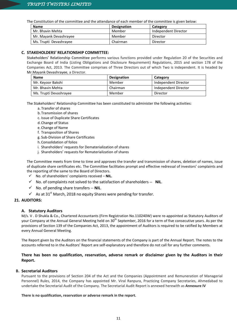The Constitution of the committee and the attendance of each member of the committee is given below:

| <b>Name</b>            | <b>Designation</b> | Category             |
|------------------------|--------------------|----------------------|
| Mr. Bhavin Mehta       | Member             | Independent Director |
| Mr. Mayank Devashrayee | Member             | Director             |
| Ms. Trupti Devashrayee | Chairman           | Director             |

# **C. STAKEHOLDERS' RELATIONSHIP COMMITTEE:**

Stakeholders' Relationship Committee performs various functions provided under Regulation 20 of the Securities and Exchange Board of India (Listing Obligations and Disclosure Requirement) Regulations, 2015 and section 178 of the Companies Act, 2013. The Committee comprises of Three Directors out of which Two is independent. It is headed by Mr.Mayank Devashrayee, a Director.

| Name                   | <b>Designation</b> | Category             |
|------------------------|--------------------|----------------------|
| Mr. Keyoor Bakshi      | Member             | Independent Director |
| Mr. Bhavin Mehta       | Chairman           | Independent Director |
| Ms. Trupti Devashrayee | Member             | Director             |

The Stakeholders' Relationship Committee has been constituted to administer the following activities:

- a. Transfer of shares
- b.Transmission of shares
- c. Issue of Duplicate Share Certificates
- d.Change of Status
- e. Change of Name
- f. Transposition of Shares
- g. Sub-Division of Share Certificates
- h.Consolidation of folios
- i. Shareholders' requests for Dematerialization of shares
- j. Shareholders' requests for Rematerialization of shares

The Committee meets from time to time and approves the transfer and transmission of shares, deletion of names, issue of duplicate share certificates etc. The Committee facilitates prompt and effective redressal of investors' complaints and the reporting of the same to the Board of Directors.

- No. of shareholders' complaints received **NIL.**
- No. of complaints not solved to the satisfaction of shareholders -- **NIL**.
- No. of pending share transfers -- **NIL**.
- $\checkmark$  As at 31<sup>st</sup> March, 2018 no equity Shares were pending for transfer.

# **21. AUDITORS:**

# **A. Statutory Auditors**

M/s. V . D Shukla & Co., Chartered Accountants (Firm Registration No.110240W) were re-appointed as Statutory Auditors of your Company at the Annual General Meeting held on 30<sup>th</sup> September, 2016 for a term of five consecutive years. As per the provisions of Section 139 of the Companies Act, 2013, the appointment of Auditors is required to be ratified by Members at every Annual General Meeting.

The Report given by the Auditors on the financial statements of the Company is part of the Annual Report. The notes to the accounts referred to in the Auditors' Report are self-explanatory and therefore do not call for any further comments.

# **There has been no qualification, reservation, adverse remark or disclaimer given by the Auditors in their Report.**

# **B. Secretarial Auditors**

Pursuant to the provisions of Section 204 of the Act and the Companies (Appointment and Remuneration of Managerial Personnel) Rules, 2014, the Company has appointed Mr. Viral Ranpura, Practicing Company Secretaries, Ahmedabad to undertake the Secretarial Audit of the Company. The Secretarial Audit Report is annexed herewith as **Annexure IV**

# **There is no qualification, reservation or adverse remark in the report.**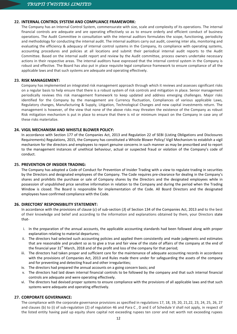# **22. INTERNAL CONTROL SYSTEM AND COMPLIANCE FRAMEWORK:**

The Company has an Internal Control System, commensurate with size, scale and complexity of its operations. The internal financial controls are adequate and are operating effectively so as to ensure orderly and efficient conduct of business operations. The Audit Committee in consultation with the internal auditors formulates the scope, functioning, periodicity and methodology for conducting the internal audit. The internal auditors carry out audit, covering inter alia, monitoring and evaluating the efficiency & adequacy of internal control systems in the Company, its compliance with operating systems, accounting procedures and policies at all locations and submit their periodical internal audit reports to the Audit Committee. Based on the internal audit report and review by the Audit committee, process owners undertake necessary actions in their respective areas. The internal auditors have expressed that the internal control system in the Company is robust and effective. The Board has also put in place requisite legal compliance framework to ensure compliance of all the applicable laws and that such systems are adequate and operating effectively.

# **23. RISK MANAGEMENT:**

Company has implemented an integrated risk management approach through which it reviews and assesses significant risks on a regular basis to help ensure that there is a robust system of risk controls and mitigation in place. Senior management periodically reviews this risk management framework to keep updated and address emerging challenges. Major risks identified for the Company by the management are Currency fluctuation, Compliances of various applicable Laws, Regulatory changes, Manufacturing & Supply, Litigation, Technological Changes and new capital investments return. The management is however, of the view that none of the above risks may threaten the existence of the Company as robust Risk mitigation mechanism is put in place to ensure that there is nil or minimum impact on the Company in case any of these risks materialize.

# **24. VIGIL MECHANISM AND WHISTLE BLOWER POLICY:**

In accordance with Section 177 of the Companies Act, 2013 and Regulation 22 of SEBI (Listing Obligations and Disclosures Requirements) Regulations, 2015, the Company has constituted a Whistle Blower Policy/ Vigil Mechanism to establish a vigil mechanism for the directors and employees to report genuine concerns in such manner as may be prescribed and to report to the management instances of unethical behaviour, actual or suspected fraud or violation of the Company's code of conduct.

# **25. PREVENTION OF INSIDER TRADING:**

The Company has adopted a Code of Conduct for Prevention of Insider Trading with a view to regulate trading in securities by the Directors and designated employees of the Company. The Code requires pre-clearance for dealing in the Company's shares and prohibits the purchase or sale of Company shares by the Directors and the designated employees while in possession of unpublished price sensitive information in relation to the Company and during the period when the Trading Window is closed. The Board is responsible for implementation of the Code. All Board Directors and the designated employees have confirmed compliance with the Code.

# **26. DIRECTORS' RESPONSIBILITY STATEMENT:**

In accordance with the provisions of clause (*c*) of sub-section (*3*) of Section 134 of the Companies Act, 2013 and to the best of their knowledge and belief and according to the information and explanations obtained by them, your Directors state that-

- i. In the preparation of the annual accounts, the applicable accounting standards had been followed along with proper explanation relating to material departures;
- ii. The directors had selected such accounting policies and applied them consistently and made judgments and estimates that are reasonable and prudent so as to give a true and fair view of the state of affairs of the company at the end of the financial year 31<sup>st</sup> March, 2018 and of the profit and loss of the company for that period;
- iii. The directors had taken proper and sufficient care for the maintenance of adequate accounting records in accordance with the provisions of Companies Act, 2013 and Rules made there under for safeguarding the assets of the company and for preventing and detecting fraud and other irregularities;
- iv. The directors had prepared the annual accounts on a going concern basis; and
- v. The directors had laid down internal financial controls to be followed by the company and that such internal financial controls are adequate and were operating effectively.
- vi. The directors had devised proper systems to ensure compliance with the provisions of all applicable laws and that such systems were adequate and operating effectively.

# **27. CORPORATE GOVERNANCE:**

The compliance with the corporate governance provisions as specified in regulations 17, 18, 19, 20, 21,22, 23, 24, 25, 26, 27 and clauses (b) to (i) of sub-regulation (2) of regulation 46 and Para C , D and E of Schedule V shall not apply, in respect of the listed entity having paid up equity share capital not exceeding rupees ten corer and net worth not exceeding rupees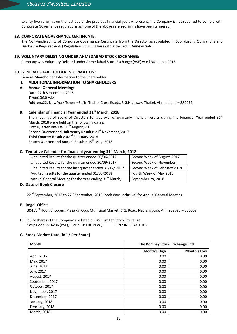twenty five corer, as on the last day of the previous financial year. At present, the Company is not required to comply with Corporate Governance regulations as none of the above referred limits have been triggered.

# **28. CORPORATE GOVERNANCE CERTIFICATE:**

The Non-Applicability of Corporate Governance Certificate from the Director as stipulated in SEBI (Listing Obligations and Disclosure Requirements) Regulations, 2015 is herewith attached in **Annexure-V**.

# **29. VOLUNTARY DELISTING UNDER AHMEDABAD STOCK EXCHANGE:**

Company was Voluntary Delisted under Ahmedabad Stock Exchange (ASE) w.e.f 30<sup>th</sup> June, 2016.

# **30. GENERAL SHAREHOLDER INFORMATION:**

General Shareholder Information to the Shareholder:

# **I. ADDITIONAL INFORMATION TO SHAREHOLDERS**

**A. Annual General Meeting: Date:**27th September, 2018 **Time**:10:30 A.M **Address:**22, New York Tower –B, Nr. Thaltej Cross Roads, S.G.Highway, Thaltej, Ahmedabad – 380054

# **B. Calendar of Financial Year ended 31st**

Calendar of Financial Year ended 31<sup>st</sup> March, 2018<br>The meetings of Board of Directors for approval of quarterly financial results during the Financial Year ended 31<sup>st</sup> March, 2018 were held on the following dates: **First Quarter Results: 09<sup>th</sup> August, 2017 Second Quarter and Half yearly Results: 21st November, 2017** Third Quarter Results: 02<sup>nd</sup> February, 2018 Fourth Quarter and Annual Results: 19<sup>th</sup> May, 2018

# **C. Tentative Calendar for financial year ending 31 st March, 2018**

| Unaudited Results for the quarter ended 30/06/2017                 | Second Week of August, 2017  |
|--------------------------------------------------------------------|------------------------------|
| Unaudited Results for the quarter ended 30/09/2017                 | Second Week of November,     |
| Unaudited Results for the last quarter ended 31/12/2017            | Second Week of February 2018 |
| Audited Results for the quarter ended 31/03/2018                   | Fourth Week of May 2018      |
| Annual General Meeting for the year ending 31 <sup>st</sup> March, | September 29, 2018           |

# **D. Date of Book Closure**

22<sup>nd</sup> September, 2018 to 27<sup>th</sup> September, 2018 (both days inclusive) for Annual General Meeting.

# **E. Regd. Office**

304,/3<sup>rd</sup> Floor, Shoppers Plaza -5, Opp. Municipal Market, C.G. Road, Navrangpura, Ahmedabad – 380009

**F.** Equity shares of the Company are listed on BSE Limited Stock Exchange. Scrip Code:-**514236** (BSE), Scrip ID: **TRUPTWI,** ISIN : **INE664X01017**

# **G. Stock Market Data (in ` / Per Share)**

| <b>Month</b>    | The Bombay Stock Exchange Ltd. |                    |
|-----------------|--------------------------------|--------------------|
|                 | Month's High                   | <b>Month's Low</b> |
| April, 2017     | 0.00                           | 0.00               |
| May, 2017       | 0.00                           | 0.00               |
| June, 2017      | 0.00                           | 0.00               |
| July, 2017      | 0.00                           | 0.00               |
| August, 2017    | 0.00                           | 0.00               |
| September, 2017 | 0.00                           | 0.00               |
| October, 2017   | 0.00                           | 0.00               |
| November, 2017  | 0.00                           | 0.00               |
| December, 2017  | 0.00                           | 0.00               |
| January, 2018   | 0.00                           | 0.00               |
| February, 2018  | 0.00                           | 0.00               |
| March, 2018     | 0.00                           | 0.00               |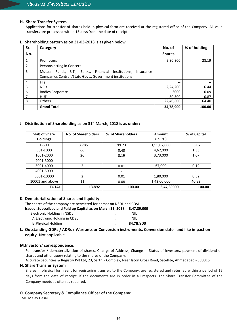# **H. Share Transfer System**

Applications for transfer of shares held in physical form are received at the registered office of the Company. All valid transfers are processed within 15 days from the date of receipt.

# **I.** Shareholding pattern as on 31-03-2018 is as given below :

| Sr.            | Category                                                                                                                      | No. of        | % of holding |
|----------------|-------------------------------------------------------------------------------------------------------------------------------|---------------|--------------|
| No.            |                                                                                                                               | <b>Shares</b> |              |
|                | Promoters                                                                                                                     | 9,80,800      | 28.19        |
| $\overline{2}$ | Persons acting in Concert                                                                                                     | $-$           |              |
| 3              | Mutual Funds, UTI, Banks, Financial<br>Institutions,<br>Insurance<br>Companies Central / State Govt., Government institutions | $- -$         |              |
| 4              | <b>FIIs</b>                                                                                                                   | $- -$         |              |
| 5              | <b>NRIS</b>                                                                                                                   | 2,24,200      | 6.44         |
| 6              | <b>Bodies Corporate</b>                                                                                                       | 3000          | 0.09         |
|                | <b>HUF</b>                                                                                                                    | 30,300        | 0.87         |
| 8              | <b>Others</b>                                                                                                                 | 22,40,600     | 64.40        |
|                | <b>Grand Total</b>                                                                                                            | 34,78,900     | 100.00       |

# **J. Distribution of Shareholding as on 31st March, 2018 is as under:**

| <b>Slab of Share</b><br><b>Holdings</b> | <b>No. of Shareholders</b> | % of Shareholders        | <b>Amount</b><br>(in Rs.) | % of Capital    |
|-----------------------------------------|----------------------------|--------------------------|---------------------------|-----------------|
| 1-500                                   | 13,785                     | 99.23                    | 1,95,07,000               | 56.07           |
| 501-1000                                | 66                         | 0.48                     | 4,62,000                  | 1.33            |
| 1001-2000                               | 26                         | 0.19                     | 3,73,000                  | 1.07            |
| 2001-3000                               | $\overline{\phantom{a}}$   | $\overline{\phantom{a}}$ | $\overline{\phantom{a}}$  | $\qquad \qquad$ |
| 3001-4000                               | $\overline{\phantom{a}}$   | 0.01                     | 67,000                    | 0.19            |
| 4001-5000                               | $\overline{\phantom{a}}$   | $\overline{\phantom{a}}$ | $\overline{\phantom{a}}$  |                 |
| 5001-10000                              | $\overline{2}$             | 0.01                     | 1,80,000                  | 0.52            |
| 10001 and above                         | 11                         | 0.08                     | 1,42,00,000               | 40.82           |
| <b>TOTAL</b>                            | 13,892                     | 100.00                   | 3,47,89000                | 100.00          |

# **K. Dematerialization of Shares and liquidity**

The shares of the company are permitted for demat on NSDL and CDSL

| Issued, Subscribed and Paid up Capital as on March 31, 2018: 3,47,89,000 |           |
|--------------------------------------------------------------------------|-----------|
| Electronic Holding in NSDL                                               | NIL       |
| A. Electronic Holding in CDSL                                            | NIL.      |
| <b>B. Physical Holding</b>                                               | 34.78.900 |

# **L. Outstanding GDRs / ADRs / Warrants or Conversion instruments, Conversion date and like impact on equity**- Not applicable

# **M.Investors' correspondence:**

For transfer / dematerialization of shares, Change of Address, Change in Status of investors, payment of dividend on shares and other query relating to the shares of the Company:

Accurate Securities & Registry Pvt Ltd, 23, Sarthik Complex, Near Iscon Cross Road, Satellite, Ahmedabad - 380015

# **N. Share Transfer System**

Shares in physical form sent for registering transfer, to the Company, are registered and returned within a period of 15 days from the date of receipt, if the documents are in order in all respects. The Share Transfer Committee of the Company meets as often as required.

# **O. Company Secretary & Compliance Officer of the Company**:

Mr. Malay Desai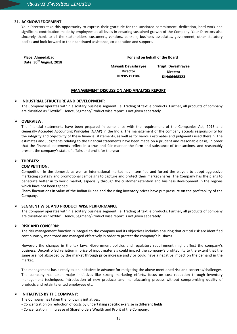# **31. ACKNOWLEDGEMENT:**

Your Directors take this opportunity to express their gratitude for the unstinted commitment, dedication, hard work and significant contribution made by employees at all levels in ensuring sustained growth of the Company. Your Directors also sincerely thank to all the stakeholders, customers, vendors, bankers, business associates, government, other statutory bodies and look forward to their continued assistance, co-operation and support.

| <b>Place: Ahmedabad</b><br>Date: 30 <sup>th</sup> August, 2018 | For and on behalf of the Board |                    |  |
|----------------------------------------------------------------|--------------------------------|--------------------|--|
|                                                                | <b>Mayank Devashrayee</b>      | Trupti Devashrayee |  |
|                                                                | <b>Director</b>                | <b>Director</b>    |  |
|                                                                | DIN:05313186                   | DIN:06468323       |  |

# **MANAGEMENT DISCUSSION AND ANALYSIS REPORT**

# **INDUSTRIAL STRUCTURE AND DEVELOPMENT:**

The Company operates within a solitary business segment i.e. Trading of textile products. Further, all products of company are classified as "Textile". Hence, Segment/Product wise report is not given separately.

# **OVERVIEW:**

The financial statements have been prepared in compliance with the requirement of the Companies Act, 2013 and Generally Accepted Accounting Principles (GAAP) in the India. The management of the company accepts responsibility for the integrity and objectivity of these financial statements, as well as for various estimates and judgments used therein. The estimates and judgments relating to the financial statements have been made on a prudent and reasonable basis, in order that the financial statements reflect in a true and fair manner the form and substance of transactions, and reasonably present the company's state of affairs and profit for the year.

# **THREATS:**

# **COMPETITION:**

Competition in the domestic as well as international market has intensified and forced the players to adopt aggressive marketing strategy and promotional campaigns to capture and protect their market shares, The Company has the plans to penetrate better in to world market, especially through the customer retention and business development in the regions which have not been tapped.

Sharp fluctuations in value of the Indian Rupee and the rising inventory prices have put pressure on the profitability of the Company.

# **SEGMENT WISE AND PRODUCT WISE PERFORMANCE:**

The Company operates within a solitary business segment i.e. Trading of textile products. Further, all products of company are classified as "Textile". Hence, Segment/Product wise report is not given separately.

# **RISK AND CONCERN**:

The risk management function is integral to the company and its objectives includes ensuring that critical risk are identified continuously, monitored and managed effectively in order to protect the company's business.

However, the changes in the tax laws, Government policies and regulatory requirement might affect the company's business. Uncontrolled variation in price of input materials could impact the company's profitability to the extent that the same are not absorbed by the market through price increase and / or could have a negative impact on the demand in the market.

The management has already taken initiatives in advance for mitigating the above mentioned risk and concerns/challenges. The company has taken major initiatives like strong marketing efforts, focus on cost reduction through inventory management techniques, introduction of new products and manufacturing process without compromising quality of products and retain talented employees etc.

# **INITIATIVES BY THE COMPANY:**

The Company has taken the following initiatives:

- Concentration on reduction of costs by undertaking specific exercise in different fields.
- Concentration in Increase of Shareholders Wealth and Profit of the Company.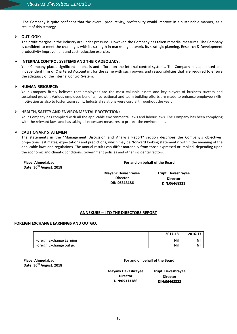-The Company is quite confident that the overall productivity, profitability would improve in a sustainable manner, as a result of this strategy.

# **OUTLOOK:**

The profit margins in the industry are under pressure. However, the Company has taken remedial measures. The Company is confident to meet the challenges with its strength in marketing network, its strategic planning, Research & Development productivity improvement and cost reduction exercise.

# **INTERNAL CONTROL SYSTEMS AND THEIR ADEQUACY:**

Your Company places significant emphasis and efforts on the internal control systems. The Company has appointed and independent firm of Chartered Accountant for the same with such powers and responsibilities that are required to ensure the adequacy of the internal Control System.

# **HUMAN RESOURCE:**

Your Company firmly believes that employees are the most valuable assets and key players of business success and sustained growth. Various employee benefits, recreational and team building efforts are made to enhance employee skills, motivation as also to foster team spirit. Industrial relations were cordial throughout the year.

# **HEALTH, SAFETY AND ENVIRONMENTAL PROTECTION:**

Your Company has complied with all the applicable environmental laws and labour laws. The Company has been complying with the relevant laws and has taking all necessary measures to protect the environment.

# **CAUTIONARY STATEMENT**

The statements in the "Management Discussion and Analysis Report" section describes the Company's objectives, projections, estimates, expectations and predictions, which may be "forward looking statements" within the meaning of the applicable laws and regulations. The annual results can differ materially from those expressed or implied, depending upon the economic and climatic conditions, Government policies and other incidental factors.

| <b>Place: Ahmedabad</b><br>Date: 30 <sup>th</sup> August, 2018 | For and on behalf of the Board                               |                                                       |  |  |
|----------------------------------------------------------------|--------------------------------------------------------------|-------------------------------------------------------|--|--|
|                                                                | <b>Mayank Devashrayee</b><br><b>Director</b><br>DIN:05313186 | Trupti Devashrayee<br><b>Director</b><br>DIN:06468323 |  |  |

# **ANNEXURE – I TO THE DIRECTORS REPORT**

# **FOREIGN EXCHANGE EARNINGS AND OUTGO:**

|                          | 2017-18    | 2016-17 |
|--------------------------|------------|---------|
| Foreign Exchange Earning | <b>Nil</b> | Nil     |
| Foreign Exchange out go  | <b>Nil</b> | Nil     |

**Place: Ahmedabad Date: 30th August, 2018**

# **For and on behalf of the Board**

**Mayank Devashrayee Director DIN:05313186**

**Trupti Devashrayee Director DIN:06468323**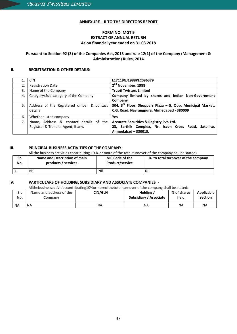# **ANNEXURE – II TO THE DIRECTORS REPORT**

# **FORM NO. MGT 9 EXTRACT OF ANNUAL RETURN As on financial year ended on 31.03.2018**

# **Pursuant to Section 92 (3) of the Companies Act, 2013 and rule 12(1) of the Company (Management & Administration) Rules, 2014**

# **II. REGISTRATION & OTHER DETAILS:**

|    | <b>CIN</b>                                                                    | L17119GJ1988PLC096379                                                                                                    |
|----|-------------------------------------------------------------------------------|--------------------------------------------------------------------------------------------------------------------------|
| 2. | <b>Registration Date</b>                                                      | 2 <sup>nd</sup> November, 1988                                                                                           |
| 3. | Name of the Company                                                           | <b>Trupti Twisters Limited</b>                                                                                           |
| 4. | Category/Sub-category of the Company                                          | Company limited by shares and Indian Non-Government<br>Company                                                           |
| 5. | Address of the Registered office & contact<br>details                         | 304, $3^{ra}$ Floor, Shoppers Plaza - 5, Opp. Municipal Market,<br>C.G. Road, Navrangpura, Ahmedabad - 380009            |
| 6. | Whether listed company                                                        | Yes                                                                                                                      |
| 7. | Name, Address & contact details of the<br>Registrar & Transfer Agent, if any. | Accurate Securities & Registry Pvt. Ltd.<br>23, Sarthik Complex, Nr. Iscon Cross Road, Satellite,<br>Ahmedabad - 380015. |

# **III. PRINCIPAL BUSINESS ACTIVITIES OF THE COMPANY :**

All the business activities contributing 10 % or more of the total turnover of the company hall be stated)

| Sr.<br>No. | Name and Description of main<br>products / services | NIC Code of the<br><b>Product/service</b> | % to total turnover of the company |
|------------|-----------------------------------------------------|-------------------------------------------|------------------------------------|
|            | Nil                                                 | Nil                                       | Nil                                |

# **IV. PARTICULARS OF HOLDING, SUBSIDIARY AND ASSOCIATE COMPANIES** -

Allthebusinessactivitiescontributing10%ormoreofthetotal turnover of the company shall be stated:-

| Sr.<br>No. | Name and address of the<br>Company | <b>CIN/GLN</b> | Holding /<br><b>Subsidiary / Associate</b> | % of shares<br>held | Applicable<br>section |
|------------|------------------------------------|----------------|--------------------------------------------|---------------------|-----------------------|
| NA         | <b>NA</b>                          | NA             | ΝA                                         | ΝA                  | <b>NA</b>             |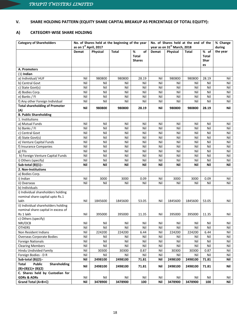# **V. SHARE HOLDING PATTERN (EQUITY SHARE CAPITAL BREAKUP AS PERCENTAGE OF TOTAL EQUITY):**

# **A) CATEGORY-WISE SHARE HOLDING**

| <b>Category of Shareholders</b>        | No. of Shares held at the beginning of the year<br>as on 1st April, 2017 |          |         |               | No. of Shares held at the end of the<br>year as on 31st March, 2018 |          |              |             | % Change<br>during |
|----------------------------------------|--------------------------------------------------------------------------|----------|---------|---------------|---------------------------------------------------------------------|----------|--------------|-------------|--------------------|
|                                        | <b>Demat</b>                                                             | Physical | Total   | %<br>of       | Demat                                                               | Physical | <b>Total</b> | % of        | the year           |
|                                        |                                                                          |          |         | <b>Total</b>  |                                                                     |          |              | Total       |                    |
|                                        |                                                                          |          |         | <b>Shares</b> |                                                                     |          |              | <b>Shar</b> |                    |
|                                        |                                                                          |          |         |               |                                                                     |          |              | es          |                    |
| A. Promoters                           |                                                                          |          |         |               |                                                                     |          |              |             |                    |
| $(1)$ Indian                           |                                                                          |          |         |               |                                                                     |          |              |             |                    |
| a) Individual/HUF                      | Nil                                                                      | 980800   | 980800  | 28.19         | Nil                                                                 | 980800   | 980800       | 28.19       | Nil                |
| b) Central Govt                        | Nil                                                                      | Nil      | Nil     | Nil           | Nil                                                                 | Nil      | Nil          | Nil         | Nil                |
| c) State Govt(s)                       | Nil                                                                      | Nil      | Nil     | Nil           | Nil                                                                 | Nil      | Nil          | Nil         | Nil                |
| d) Bodies Corp.                        | Nil                                                                      | Nil      | Nil     | Nil           | Nil                                                                 | Nil      | Nil          | Nil         | Nil                |
| e) Banks / FI                          | Nil                                                                      | Nil      | Nil     | Nil           | Nil                                                                 | Nil      | Nil          | Nil         | Nil                |
| f) Any other Foreign Individual        | Nil                                                                      | Nil      | Nil     | Nil           | Nil                                                                 | Nil      | Nil          | Nil         | Nil                |
| <b>Total shareholding of Promoter</b>  | Nil                                                                      | 980800   | 980800  | 28.19         | Nil                                                                 | 980800   | 980800       | 28.19       | Nil                |
| (A)                                    |                                                                          |          |         |               |                                                                     |          |              |             |                    |
| <b>B. Public Shareholding</b>          |                                                                          |          |         |               |                                                                     |          |              |             |                    |
| 1. Institutions                        |                                                                          |          |         |               |                                                                     |          |              |             |                    |
| a) Mutual Funds                        | Nil                                                                      | Nil      | Nil     | Nil           | Nil                                                                 | Nil      | Nil          | Nil         | Nil                |
| b) Banks / Fl                          | Nil                                                                      | Nil      | Nil     | Nil           | Nil                                                                 | Nil      | Nil          | Nil         | Nil                |
| c) Central Govt                        | Nil                                                                      | Nil      | Nil     | Nil           | Nil                                                                 | Nil      | Nil          | Nil         | Nil                |
| d) State Govt(s)                       | Nil                                                                      | Nil      | Nil     | Nil           | Nil                                                                 | Nil      | Nil          | Nil         | Nil                |
| e) Venture Capital Funds               | Nil                                                                      | Nil      | Nil     | Nil           | Nil                                                                 | Nil      | Nil          | Nil         | Nil                |
| f) Insurance Companies                 | Nil                                                                      | Nil      | Nil     | Nil           | Nil                                                                 | Nil      | Nil          | Nil         | Nil                |
| g) FIIs                                | Nil                                                                      | Nil      | Nil     | Nil           | Nil                                                                 | Nil      | Nil          | Nil         | Nil                |
| h) Foreign Venture Capital Funds       | Nil                                                                      | Nil      | Nil     | Nil           | Nil                                                                 | Nil      | Nil          | Nil         | Nil                |
| i) Others (specify)                    | Nil                                                                      | Nil      | Nil     | Nil           | Nil                                                                 | Nil      | Nil          | Nil         | Nil                |
| Sub-total $(B)(1)$ :-                  | Nil                                                                      | Nil      | Nil     | Nil           | Nil                                                                 | Nil      | Nil          | Nil         | Nil                |
| 2. Non-Institutions                    |                                                                          |          |         |               |                                                                     |          |              |             |                    |
| a) Bodies Corp.                        |                                                                          |          |         |               |                                                                     |          |              |             |                    |
| i) Indian                              | Nil                                                                      | 3000     | 3000    | 0.09          | Nil                                                                 | 3000     | 3000         | 0.09        | Nil                |
| ii) Overseas                           | Nil                                                                      | Nil      | Nil     | Nil           | Nil                                                                 | Nil      | Nil          | Nil         | Nil                |
| b) Individuals                         |                                                                          |          |         |               |                                                                     |          |              |             |                    |
| i) Individual shareholders holding     |                                                                          |          |         |               |                                                                     |          |              |             |                    |
| nominal share capital upto Rs.1        |                                                                          |          |         |               |                                                                     |          |              |             |                    |
| lakh                                   | Nil                                                                      | 1845600  | 1845600 | 53.05         | Nil                                                                 | 1845600  | 1845600      | 53.05       | Nil                |
| ii) Individual shareholders holding    |                                                                          |          |         |               |                                                                     |          |              |             |                    |
| nominal share capital in excess of     |                                                                          |          |         |               |                                                                     |          |              |             |                    |
| Rs 1 lakh                              | Nil                                                                      | 395000   | 395000  | 11.35         | Nil                                                                 | 395000   | 395000       | 11.35       | Nil                |
| c) Others (specify)<br>NRI/OCB         | Nil                                                                      | Nil      | Nil     | Nil           | Nil                                                                 | Nil      | Nil          | Nil         | Nil                |
| <b>OTHERS</b>                          | Nil                                                                      | Nil      | Nil     | Nil           | Nil                                                                 | Nil      | Nil          | Nil         | Nil                |
| Non Resident Indians                   | Nil                                                                      | 224200   | 224200  | 6.44          | Nil                                                                 | 224200   | 224200       | 6.44        | Nil                |
| Overseas Corporate Bodies              | Nil                                                                      | Nil      | Nil     | Nil           | Nil                                                                 | Nil      | Nil          | Nil         | Nil                |
| <b>Foreign Nationals</b>               | Nil                                                                      | Nil      | Nil     | Nil           | Nil                                                                 | Nil      | Nil          | Nil         | Nil                |
| <b>Clearing Members</b>                | Nil                                                                      | Nil      | Nil     | Nil           | Nil                                                                 | Nil      | Nil          | Nil         | Nil                |
| Hindu Undivided Family                 | Nil                                                                      | 30300    | 30300   | 0.87          | Nil                                                                 | 30300    | 30300        | 0.87        | Nil                |
| Foreign Bodies - D R                   | Nil                                                                      | Nil      | Nil     | Nil           | Nil                                                                 | Nil      | Nil          | Nil         | Nil                |
| Sub-total (B)(2):-                     | Nil                                                                      | 2498100  | 2498100 | 71.81         | Nil                                                                 | 2498100  | 2498100      | 71.81       | Nil                |
| Public<br>Total<br><b>Shareholding</b> |                                                                          |          |         |               |                                                                     |          |              |             |                    |
| $(B)=(B)(1)+(B)(2)$                    | Nil                                                                      | 2498100  | 2498100 | 71.81         | Nil                                                                 | 2498100  | 2498100      | 71.81       | Nil                |
| C. Shares held by Custodian for        |                                                                          |          |         |               |                                                                     |          |              |             |                    |
| <b>GDRs &amp; ADRs</b>                 | Nil                                                                      | Nil      | Nil     | Nil           | Nil                                                                 | Nil      | Nil          | Nil         | Nil                |
| Grand Total (A+B+C)                    | Nil                                                                      | 3478900  | 3478900 | 100           | Nil                                                                 | 3478900  | 3478900      | 100         | Nil                |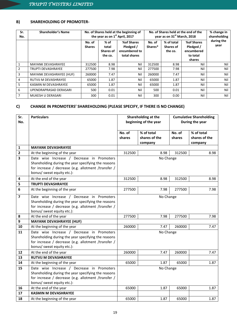# **B) SHAREHOLDING OF PROMOTER-**

| Sr.<br>No.     | <b>Shareholder's Name</b> | No. of Shares held at the beginning of<br>the year as on 1 <sup>st</sup> April, 2017 |                                                |                                                          | No. of Shares held at the end of the<br>year as on 31 <sup>st</sup> March, 2018 | % change in<br>shareholding               |                                                             |                    |
|----------------|---------------------------|--------------------------------------------------------------------------------------|------------------------------------------------|----------------------------------------------------------|---------------------------------------------------------------------------------|-------------------------------------------|-------------------------------------------------------------|--------------------|
|                |                           | No. of<br><b>Shares</b>                                                              | $%$ of<br>total<br><b>Shares of</b><br>the co. | %of Shares<br>Pledged /<br>encumbered to<br>total shares | No. of<br>Shares*                                                               | % of total<br><b>Shares of</b><br>the co. | %of Shares<br>Pledged /<br>encumbered<br>to total<br>shares | during the<br>year |
| 1              | <b>MAYANK DEVASHRAYEE</b> | 312500                                                                               | 8.98                                           | Nil                                                      | 312500                                                                          | 8.98                                      | Nil                                                         | Nil                |
| $\overline{2}$ | <b>TRUPTI DEVASHRAYEE</b> | 277500                                                                               | 7.98                                           | Nil                                                      | 277500                                                                          | 7.98                                      | Nil                                                         | Nil                |
| 3              | MAYANK DEVASHRAYEE (HUF)  | 260000                                                                               | 7.47                                           | Nil                                                      | 260000                                                                          | 7.47                                      | Nil                                                         | Nil                |
| 4              | RUTVIJ M DEVASHRAYEE      | 65000                                                                                | 1.87                                           | Nil                                                      | 65000                                                                           | 1.87                                      | Nil                                                         | Nil                |
| 5.             | KASMIN M DEVASHRAYEE      | 65000                                                                                | 1.87                                           | Nil                                                      | 65000                                                                           | 1.87                                      | Nil                                                         | Nil                |
| 6              | UPENDRAPRASAD DERASARI    | 500                                                                                  | 0.01                                           | Nil                                                      | 500                                                                             | 0.01                                      | Nil                                                         | Nil                |
| $\overline{7}$ | MUKESH U DERASARI         | 300                                                                                  | 0.01                                           | Nil                                                      | 300                                                                             | 0.00                                      | Nil                                                         | Nil                |

# **C) CHANGE IN PROMOTERS' SHAREHOLDING (PLEASE SPECIFY, IF THERE IS NO CHANGE)**

| Sr.                     | <b>Particulars</b>                                  |           | Shareholding at the   | <b>Cumulative Shareholding</b> |               |  |
|-------------------------|-----------------------------------------------------|-----------|-----------------------|--------------------------------|---------------|--|
| No.                     |                                                     |           | beginning of the year | During the year                |               |  |
|                         |                                                     |           |                       |                                |               |  |
|                         |                                                     | No. of    | % of total            | No. of                         | % of total    |  |
|                         |                                                     | shares    | shares of the         | shares                         | shares of the |  |
|                         |                                                     |           | company               |                                | company       |  |
| 1                       | <b>MAYANK DEVASHRAYEE</b>                           |           |                       |                                |               |  |
| $\mathbf{2}$            | At the beginning of the year                        | 312500    | 8.98                  | 312500                         | 8.98          |  |
| 3                       | Date wise Increase / Decrease in Promoters          |           | No Change             |                                |               |  |
|                         | Shareholding during the year specifying the reasons |           |                       |                                |               |  |
|                         | for increase / decrease (e.g. allotment /transfer / |           |                       |                                |               |  |
|                         | bonus/ sweat equity etc.):                          |           |                       |                                |               |  |
| 4                       | At the end of the year                              | 312500    | 8.98                  | 312500                         | 8.98          |  |
| 5                       | <b>TRUPTI DEVASHRAYEE</b>                           |           |                       |                                |               |  |
| $6\phantom{1}6$         | At the beginning of the year                        | 277500    | 7.98                  | 277500                         | 7.98          |  |
| $\overline{\mathbf{z}}$ | Date wise Increase / Decrease in Promoters          | No Change |                       |                                |               |  |
|                         | Shareholding during the year specifying the reasons |           |                       |                                |               |  |
|                         | for increase / decrease (e.g. allotment /transfer / |           |                       |                                |               |  |
|                         | bonus/ sweat equity etc.):                          |           |                       |                                |               |  |
| 8                       | At the end of the year                              | 277500    | 7.98                  | 277500                         | 7.98          |  |
| 9                       | <b>MAYANK DEVASHRAYEE (HUF)</b>                     |           |                       |                                |               |  |
| 10                      | At the beginning of the year                        | 260000    | 7.47                  | 260000                         | 7.47          |  |
| 11                      | Date wise Increase / Decrease in Promoters          |           | No Change             |                                |               |  |
|                         | Shareholding during the year specifying the reasons |           |                       |                                |               |  |
|                         | for increase / decrease (e.g. allotment /transfer / |           |                       |                                |               |  |
|                         | bonus/ sweat equity etc.):                          |           |                       |                                |               |  |
| 12                      | At the end of the year                              | 260000    | 7.47                  | 260000                         | 7.47          |  |
| 13                      | <b>RUTVIJ M DEVASHRAYEE</b>                         |           |                       |                                |               |  |
| 14                      | At the beginning of the year                        | 65000     | 1.87                  | 65000                          | 1.87          |  |
| 15                      | Date wise Increase / Decrease in Promoters          |           | No Change             |                                |               |  |
|                         | Shareholding during the year specifying the reasons |           |                       |                                |               |  |
|                         | for increase / decrease (e.g. allotment /transfer / |           |                       |                                |               |  |
|                         | bonus/ sweat equity etc.):                          |           |                       |                                |               |  |
| 16                      | At the end of the year                              | 65000     | 1.87                  | 65000                          | 1.87          |  |
| 17                      | <b>KASMIN M DEVASHRAYEE</b>                         |           |                       |                                |               |  |
| 18                      | At the beginning of the year                        | 65000     | 1.87                  | 65000                          | 1.87          |  |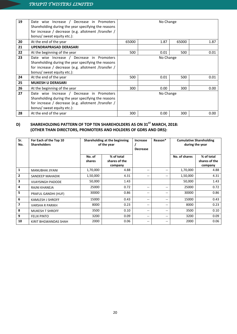| 19 | Date wise Increase / Decrease in Promoters<br>Shareholding during the year specifying the reasons<br>for increase / decrease (e.g. allotment /transfer /<br>bonus/ sweat equity etc.): | No Change |      |       |      |  |
|----|----------------------------------------------------------------------------------------------------------------------------------------------------------------------------------------|-----------|------|-------|------|--|
| 20 | At the end of the year                                                                                                                                                                 | 65000     | 1.87 | 65000 | 1.87 |  |
| 21 | <b>UPENDRAPRASAD DERASARI</b>                                                                                                                                                          |           |      |       |      |  |
| 22 | At the beginning of the year                                                                                                                                                           | 500       | 0.01 | 500   | 0.01 |  |
| 23 | Date wise Increase / Decrease in Promoters<br>Shareholding during the year specifying the reasons<br>for increase / decrease (e.g. allotment /transfer /<br>bonus/ sweat equity etc.): | No Change |      |       |      |  |
| 24 | At the end of the year                                                                                                                                                                 | 500       | 0.01 | 500   | 0.01 |  |
| 25 | <b>MUKESH U DERASARI</b>                                                                                                                                                               |           |      |       |      |  |
| 26 | At the beginning of the year                                                                                                                                                           | 300       | 0.00 | 300   | 0.00 |  |
| 27 | Date wise Increase / Decrease in Promoters<br>Shareholding during the year specifying the reasons<br>for increase / decrease (e.g. allotment /transfer /<br>bonus/ sweat equity etc.): | No Change |      |       |      |  |
| 28 | At the end of the year                                                                                                                                                                 | 300       | 0.00 | 300   | 0.00 |  |

### **D) SHAREHOLDING PATTERN OF TOP TEN SHAREHOLDERS AS ON 31ST (OTHER THAN DIRECTORS, PROMOTERS AND HOLDERS OF GDRS AND DRS): MARCH, 2018:**

| Sr.<br>No.     | For Each of the Top 10<br><b>Shareholders</b> | Shareholding at the beginning<br>of the year |                                        | Increase<br><b>Decrease</b> | Reason* |               | <b>Cumulative Shareholding</b><br>during the year |
|----------------|-----------------------------------------------|----------------------------------------------|----------------------------------------|-----------------------------|---------|---------------|---------------------------------------------------|
|                |                                               | No. of<br>shares                             | % of total<br>shares of the<br>company |                             |         | No. of shares | % of total<br>shares of the<br>company            |
| $\mathbf{1}$   | MANUBHAI JIYANI                               | 1,70,000                                     | 4.88                                   | --                          |         | 1,70,000      | 4.88                                              |
| $\overline{2}$ | SANDEEP MAHADIK                               | 1,50,000                                     | 4.31                                   | $- -$                       | --      | 1,50,000      | 4.31                                              |
| 3              | <b>VIJAYSINGH PADODE</b>                      | 50,000                                       | 1.43                                   |                             |         | 50,000        | 1.43                                              |
| 4              | RAJNI KHANEJA                                 | 25000                                        | 0.72                                   | --                          | --      | 25000         | 0.72                                              |
| 5              | PRAFUL GANDHI (HUF)                           | 30000                                        | 0.86                                   | --                          | --      | 30000         | 0.86                                              |
| 6              | <b>KAMLESH J SHROFF</b>                       | 15000                                        | 0.43                                   | --                          | $- -$   | 15000         | 0.43                                              |
| $\overline{7}$ | <b>VARSHA R PARIKH</b>                        | 8000                                         | 0.23                                   | --                          | --      | 8000          | 0.23                                              |
| 8              | <b>MUKESH T SHROFF</b>                        | 3500                                         | 0.10                                   | --                          | $- -$   | 3500          | 0.10                                              |
| 9              | <b>FELIX PINTO</b>                            | 3200                                         | 0.09                                   | $- -$                       | --      | 3200          | 0.09                                              |
| 10             | KIRIT BHGWANDAS SHAH                          | 2000                                         | 0.06                                   | --                          |         | 2000          | 0.06                                              |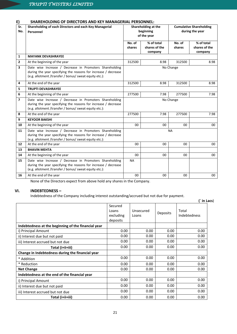# **E) SHAREHOLDING OF DIRECTORS AND KEY MANAGERIAL PERSONNEL:**

| Sr.<br>No.               | Shareholding of each Directors and each Key Managerial<br>Personnel                                                                                                                 |                  | Shareholding at the<br>beginning<br>of the year | <b>Cumulative Shareholding</b><br>during the year |                             |
|--------------------------|-------------------------------------------------------------------------------------------------------------------------------------------------------------------------------------|------------------|-------------------------------------------------|---------------------------------------------------|-----------------------------|
|                          |                                                                                                                                                                                     | No. of<br>shares | % of total<br>shares of the                     | No. of<br>shares                                  | % of total<br>shares of the |
| $\mathbf{1}$             | <b>MAYANK DEVASHRAYEE</b>                                                                                                                                                           |                  | company                                         |                                                   | company                     |
| $\overline{2}$           | At the beginning of the year                                                                                                                                                        | 312500           | 8.98                                            | 312500                                            | 8.98                        |
| 3                        | Date wise Increase / Decrease in Promoters Shareholding<br>during the year specifying the reasons for increase / decrease<br>(e.g. allotment /transfer / bonus/ sweat equity etc.): | No Change        |                                                 |                                                   |                             |
| 4                        | At the end of the year                                                                                                                                                              | 312500           | 8.98                                            | 312500                                            | 8.98                        |
| 5                        | <b>TRUPTI DEVASHRAYEE</b>                                                                                                                                                           |                  |                                                 |                                                   |                             |
| 6                        | At the beginning of the year                                                                                                                                                        | 277500           | 7.98                                            | 277500                                            | 7.98                        |
| $\overline{\phantom{a}}$ | Date wise Increase / Decrease in Promoters Shareholding<br>during the year specifying the reasons for increase / decrease<br>(e.g. allotment /transfer / bonus/ sweat equity etc.): | No Change        |                                                 |                                                   |                             |
| 8                        | At the end of the year                                                                                                                                                              | 277500           | 7.98                                            | 277500                                            | 7.98                        |
| 9                        | <b>KEYOOR BAKSHI</b>                                                                                                                                                                |                  |                                                 |                                                   |                             |
| 10                       | At the beginning of the year                                                                                                                                                        | 00               | $00\,$                                          | $00\,$                                            | $00\,$                      |
| 11                       | Date wise Increase / Decrease in Promoters Shareholding<br>during the year specifying the reasons for increase / decrease<br>(e.g. allotment /transfer / bonus/ sweat equity etc.): | <b>NA</b>        |                                                 |                                                   |                             |
| 12                       | At the end of the year                                                                                                                                                              | 00               | 00                                              | 00                                                | 00                          |
| 13                       | <b>BHAVIN MEHTA</b>                                                                                                                                                                 |                  |                                                 |                                                   |                             |
| 14                       | At the beginning of the year                                                                                                                                                        | 00               | 00                                              | 00                                                | 00                          |
| 15                       | Date wise Increase / Decrease in Promoters Shareholding<br>during the year specifying the reasons for increase / decrease<br>(e.g. allotment /transfer / bonus/ sweat equity etc.): | <b>NA</b>        |                                                 |                                                   |                             |
| 16                       | At the end of the year                                                                                                                                                              | 00               | $00\,$                                          | 00                                                | $00\,$                      |

None of the Directors expect from above hold any shares in the Company.

# **VI. INDEBTEDNESS –**

Indebtedness of the Company including interest outstanding/accrued but not due for payment.

|                                                     |                                           |                    |                 | (` in Lacs)           |
|-----------------------------------------------------|-------------------------------------------|--------------------|-----------------|-----------------------|
|                                                     | Secured<br>Loans<br>excluding<br>deposits | Unsecured<br>Loans | <b>Deposits</b> | Total<br>Indebtedness |
| Indebtedness at the beginning of the financial year |                                           |                    |                 |                       |
| i) Principal Amount                                 | 0.00                                      | 0.00               | 0.00            | 0.00                  |
| ii) Interest due but not paid                       | 0.00                                      | 0.00               | 0.00            | 0.00                  |
| iii) Interest accrued but not due                   | 0.00                                      | 0.00               | 0.00            | 0.00                  |
| Total (i+ii+iii)                                    | 0.00                                      | 0.00               | 0.00            | 0.00                  |
| Change in Indebtedness during the financial year    |                                           |                    |                 |                       |
| * Addition                                          | 0.00                                      | 0.00               | 0.00            | 0.00                  |
| * Reduction                                         | 0.00                                      | 0.00               | 0.00            | 0.00                  |
| <b>Net Change</b>                                   | 0.00                                      | 0.00               | 0.00            | 0.00                  |
| Indebtedness at the end of the financial year       |                                           |                    |                 |                       |
| i) Principal Amount                                 | 0.00                                      | 0.00               | 0.00            | 0.00                  |
| ii) Interest due but not paid                       | 0.00                                      | 0.00               | 0.00            | 0.00                  |
| iii) Interest accrued but not due                   | 0.00                                      | 0.00               | 0.00            | 0.00                  |
| Total (i+ii+iii)                                    | 0.00                                      | 0.00               | 0.00            | 0.00                  |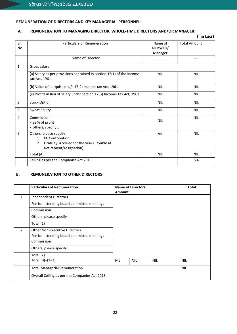# **REMUNERATION OF DIRECTORS AND KEY MANAGERIAL PERSONNEL-**

# **A. REMUNERATION TO MANAGING DIRECTOR, WHOLE-TIME DIRECTORS AND/OR MANAGER:**

|                |                                                                                                                                           |                               | (` in Lacs)         |
|----------------|-------------------------------------------------------------------------------------------------------------------------------------------|-------------------------------|---------------------|
| Sr.<br>No.     | Particulars of Remuneration                                                                                                               | Name of<br>MD/WTD/<br>Manager | <b>Total Amount</b> |
|                | Name of Director                                                                                                                          |                               |                     |
| $\mathbf{1}$   | Gross salary                                                                                                                              |                               |                     |
|                | (a) Salary as per provisions contained in section 17(1) of the Income-<br>tax Act, 1961                                                   | <b>NIL</b>                    | <b>NIL</b>          |
|                | (b) Value of perquisites u/s 17(2) Income-tax Act, 1961                                                                                   | <b>NIL</b>                    | <b>NIL</b>          |
|                | (c) Profits in lieu of salary under section 17(3) Income- tax Act, 1961                                                                   | <b>NIL</b>                    | <b>NIL</b>          |
| $\overline{2}$ | <b>Stock Option</b>                                                                                                                       | <b>NIL</b>                    | <b>NIL</b>          |
| 3              | Sweat Equity                                                                                                                              | <b>NIL</b>                    | <b>NIL</b>          |
| 4              | Commission<br>- as % of profit<br>- others, specify                                                                                       | <b>NIL</b>                    | <b>NIL</b>          |
| 5              | Others, please specify<br>PF Contribution<br>1 <sup>1</sup><br>Gratuity Accrued for the year (Payable at<br>2.<br>Retirement/resignation) | <b>NIL</b>                    | <b>NIL</b>          |
|                | Total (A)                                                                                                                                 | <b>NIL</b>                    | <b>NIL</b>          |
|                | Ceiling as per the Companies Act 2013                                                                                                     |                               | 5%                  |

# **B. REMUNERATION TO OTHER DIRECTORS**

|                | <b>Particulars of Remuneration</b>            |            | <b>Name of Directors</b> |            | <b>Total</b> |
|----------------|-----------------------------------------------|------------|--------------------------|------------|--------------|
|                |                                               | Amount     |                          |            |              |
| 1              | Independent Directors                         |            |                          |            |              |
|                | Fee for attending board committee meetings    |            |                          |            |              |
|                | Commission                                    |            |                          |            |              |
|                | Others, please specify                        |            |                          |            |              |
|                | Total (1)                                     |            |                          |            |              |
| $\mathfrak{p}$ | <b>Other Non-Executive Directors</b>          |            |                          |            |              |
|                | Fee for attending board committee meetings    |            |                          |            |              |
|                | Commission                                    |            |                          |            |              |
|                | Others, please specify                        |            |                          |            |              |
|                | Total (2)                                     |            |                          |            |              |
|                | Total $(B)=(1+2)$                             | <b>NIL</b> | <b>NIL</b>               | <b>NIL</b> | <b>NIL</b>   |
|                | <b>Total Managerial Remuneration</b>          |            |                          |            | <b>NIL</b>   |
|                | Overall Ceiling as per the Companies Act 2013 |            |                          |            |              |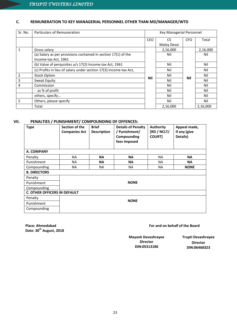# **C. REMUNERATION TO KEY MANAGERIAL PERSONNEL OTHER THAN MD/MANAGER/WTD**

| Sr. No.        | <b>Particulars of Remuneration</b>                                                     |            | Key Managerial Personnel |            |          |
|----------------|----------------------------------------------------------------------------------------|------------|--------------------------|------------|----------|
|                |                                                                                        | <b>CEO</b> | CS.                      | <b>CFO</b> | Total    |
|                |                                                                                        |            | Malay Desai              |            |          |
| 1              | Gross salary                                                                           |            | 2,16,000                 |            | 2,16,000 |
|                | (a) Salary as per provisions contained in section 17(1) of the<br>Income-tax Act, 1961 |            | Nil                      |            | Nil      |
|                | (b) Value of perquisites u/s 17(2) Income-tax Act, 1961                                |            | Nil                      |            | Nil      |
|                | (c) Profits in lieu of salary under section 17(3) Income-tax Act,                      |            | Nil                      |            | Nil      |
| $\overline{2}$ | <b>Stock Option</b>                                                                    | Nil        | Nil                      | Nil        | Nil      |
| 3              | Sweat Equity                                                                           |            | Nil                      |            | Nil      |
| 4              | Commission                                                                             |            | Nil                      |            | Nil      |
|                | - as % of profit                                                                       |            | Nil                      |            | Nil      |
|                | others, specify                                                                        |            | Nil                      |            | Nil      |
| 5              | Others, please specify                                                                 |            | Nil                      |            | Nil      |
|                | Total                                                                                  |            | 2,16,000                 |            | 2,16,000 |

# **VII. PENALTIES / PUNISHMENT/ COMPOUNDING OF OFFENCES:**

| <b>Type</b>                         | Section of the<br><b>Companies Act</b> | <b>Brief</b><br><b>Description</b> | <b>Details of Penalty</b><br>/ Punishment/<br>Compounding<br>fees imposed | <b>Authority</b><br>[RD / NCLT/<br><b>COURT]</b> | Appeal made,<br>if any (give<br>Details) |  |  |  |  |
|-------------------------------------|----------------------------------------|------------------------------------|---------------------------------------------------------------------------|--------------------------------------------------|------------------------------------------|--|--|--|--|
| A. COMPANY                          |                                        |                                    |                                                                           |                                                  |                                          |  |  |  |  |
| Penalty                             | <b>NA</b>                              | <b>NA</b>                          | <b>NA</b>                                                                 | <b>NA</b>                                        | <b>NA</b>                                |  |  |  |  |
| Punishment                          | <b>NA</b>                              | <b>NA</b>                          | <b>NA</b>                                                                 | NA.                                              | <b>NA</b>                                |  |  |  |  |
| Compounding                         | <b>NA</b>                              | <b>NA</b>                          | <b>NA</b>                                                                 | <b>NA</b>                                        | <b>NONE</b>                              |  |  |  |  |
| <b>B. DIRECTORS</b>                 |                                        |                                    |                                                                           |                                                  |                                          |  |  |  |  |
| Penalty                             |                                        |                                    |                                                                           |                                                  |                                          |  |  |  |  |
| Punishment                          |                                        |                                    | <b>NONE</b>                                                               |                                                  |                                          |  |  |  |  |
| Compounding                         |                                        |                                    |                                                                           |                                                  |                                          |  |  |  |  |
| <b>C. OTHER OFFICERS IN DEFAULT</b> |                                        |                                    |                                                                           |                                                  |                                          |  |  |  |  |
| Penalty                             |                                        |                                    |                                                                           |                                                  |                                          |  |  |  |  |
| Punishment                          | <b>NONE</b>                            |                                    |                                                                           |                                                  |                                          |  |  |  |  |
| Compounding                         |                                        |                                    |                                                                           |                                                  |                                          |  |  |  |  |

**Place: Ahmedabad Date: 30th August, 2018** **For and on behalf of the Board**

**Mayank Devashrayee Director DIN:05313186**

**Trupti Devashrayee Director DIN:06468323**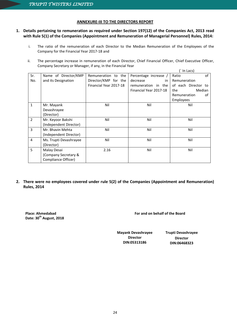# **ANNEXURE-III TO THE DIRECTORS REPORT**

# **1. Details pertaining to remuneration as required under Section 197(12) of the Companies Act, 2013 read with Rule 5(1) of the Companies (Appointment and Remuneration of Managerial Personnel) Rules, 2014:**

- i. The ratio of the remuneration of each Director to the Median Remuneration of the Employees of the Company for the Financial Year 2017-18 and
- ii. The percentage increase in remuneration of each Director, Chief Financial Officer, Chief Executive Officer, Company Secretary or Manager, if any, in the Financial Year  $($   $\ln$   $\ln$

|                |                        |                        |                        | $III$ Lacs          |
|----------------|------------------------|------------------------|------------------------|---------------------|
| Sr.            | Name of Director/KMP   | Remuneration to the    | Percentage increase /  | Ratio<br>of         |
| No.            | and its Designation    | Director/KMP for the   | decrease<br>in         | Remuneration        |
|                |                        | Financial Year 2017-18 | remuneration in the    | of each Director to |
|                |                        |                        | Financial Year 2017-18 | Median<br>the       |
|                |                        |                        |                        | Remuneration<br>οf  |
|                |                        |                        |                        | Employees           |
| $\mathbf{1}$   | Mr. Mayank             | Nil                    | Nil                    | Nil                 |
|                | Devashrayee            |                        |                        |                     |
|                | (Director)             |                        |                        |                     |
| 2              | Mr. Keyoor Bakshi      | Nil                    | Nil                    | Nil                 |
|                | (Independent Director) |                        |                        |                     |
| 3              | Mr. Bhavin Mehta       | Nil                    | Nil                    | Nil                 |
|                | (Independent Director) |                        |                        |                     |
| $\overline{4}$ | Ms. Trupti Devashrayee | Nil                    | Nil                    | Nil                 |
|                | (Director)             |                        |                        |                     |
| 5              | Malay Desai            | 2.16                   | Nil                    | Nil                 |
|                | (Company Secretary &   |                        |                        |                     |
|                | Compliance Officer)    |                        |                        |                     |

**2. There were no employees covered under rule 5(2) of the Companies (Appointment and Remuneration) Rules, 2014**

**Place: Ahmedabad Date: 30th August, 2018** **For and on behalf of the Board**

**Mayank Devashrayee Director DIN:05313186**

**Trupti Devashrayee Director DIN:06468323**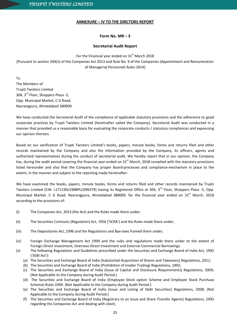# **ANNEXURE – IV TO THE DIRCTORS REPORT**

# **Form No. MR – 3**

# **Secretarial Audit Report**

For the Financial year ended on  $31<sup>st</sup>$  March 2018 [Pursuant to section 204(1) of the Companies Act 2013 and Rule No. 9 of the Companies (Appointment and Remuneration of Managerial Personnel) Rules 2014]

To The Members of Trupti Twisters Limited 304, 3rd Floor, Shoppers Plaza -5, Opp. Municipal Market, C G Road, Navrangpura, Ahmedabad 380009.

We have conducted the Secretarial Audit of the compliance of applicable statutory provisions and the adherence to good corporate practices by Trupti Twisters Limited (hereinafter called the Company). Secretarial Audit was conducted in a manner that provided us a reasonable basis for evaluating the corporate conducts / statutory compliances and expressing our opinion thereon.

Based on our verification of Trupti Twisters Limited's books, papers, minute books, forms and returns filed and other records maintained by the Company and also the information provided by the Company, its officers, agents and authorized representatives during the conduct of secretarial audit, We hereby report that in our opinion, the Company has, during the audit period covering the financial year ended on  $31<sup>st</sup>$  March, 2018 complied with the statutory provisions listed hereunder and also that the Company has proper Board-processes and compliance-mechanism in place to the extent, in the manner and subject to the reporting made hereinafter:

We have examined the books, papers, minute books, forms and returns filed and other records maintained by Trupti Twisters Limited (CIN: L17119GJ1988PLC096379) having its Registered Office at 304, 3<sup>rd</sup> Floor, Shoppers Plaza -5, Opp. Municipal Market, C G Road, Navrangpura, Ahmedabad 380009. for the financial year ended on 31<sup>st</sup> March, 2018 according to the provisions of:

- (i) The Companies Act, 2013 (the Act) and the Rules made there under;
- (ii) The Securities Contracts (Regulation) Act, 1956 ('SCRA') and the Rules made there under;
- (iii) The Depositories Act, 1996 and the Regulations and Bye-laws framed there under;
- (iv) Foreign Exchange Management Act 1999 and the rules and regulations made there under to the extent of Foreign Direct Investment, Overseas Direct Investment and External Commercial Borrowings.
- (v) The following Regulations and Guidelines prescribed under the Securities and Exchange Board of India Act, 1992 ('SEBI Act'):
	- (a) The Securities and Exchange Board of India (Substantial Acquisition of Shares and Takeovers) Regulations, 2011;
	- (b) The Securities and Exchange Board of India (Prohibition of Insider Trading) Regulations, 1992;
	- (c) The Securities and Exchange Board of India (Issue of Capital and Disclosure Requirements) Regulations, 2009; (Not Applicable to the Company during Audit Period.)
	- (d) The Securities and Exchange Board of India (Employee Stock option Scheme and Employee Stock Purchase Scheme) Rules 1999. (Not Applicable to the Company during Audit Period.)
	- (e) The Securities and Exchange Board of India (Issue and Listing of Debt Securities) Regulations, 2008; (Not Applicable to the Company during Audit Period.)
	- (f) The Securities and Exchange Board of India (Registrars to an Issue and Share Transfer Agents) Regulations, 1993 regarding the Companies Act and dealing with client;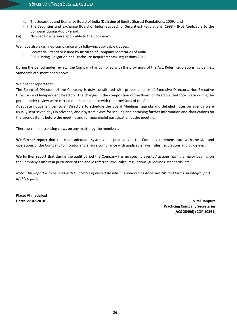- (g) The Securities and Exchange Board of India (Delisting of Equity Shares) Regulations, 2009; and
- (h) The Securities and Exchange Board of India (Buyback of Securities) Regulations, 1998 (Not Applicable to the Company during Audit Period);
- (vi) No specific acts were applicable to the Company.

We have also examined compliance with following applicable clauses:

- i) Secretarial Standard issued by Institute of Company Secretaries of India.
- ii) SEBI (Listing Obligation and Disclosure Requirements) Regulations 2015.

During the period under review, the Company has complied with the provisions of the Act, Rules, Regulations, guidelines, Standards etc. mentioned above.

We further report that:

The Board of Directors of the Company is duly constituted with proper balance of Executive Directors, Non-Executive Directors and Independent Directors. The changes in the composition of the Board of Directors that took place during the period under review were carried out in compliance with the provisions of the Act.

Adequate notice is given to all Directors to schedule the Board Meetings, agenda and detailed notes on agenda were usually sent seven days in advance, and a system exists for seeking and obtaining further information and clarifications on the agenda items before the meeting and for meaningful participation at the meeting.

There were no dissenting views on any matter by the members.

**We further report that** there are adequate systems and processes in the Company commensurate with the size and operations of the Company to monitor and ensure compliance with applicable laws, rules, regulations and guidelines.

**We further report that** during the audit period the Company has no specific events / actions having a major bearing on the Company's affairs in pursuance of the above referred laws, rules, regulations, guidelines, standards, etc.

*Note: This Report is to be read with Our Letter of even date which is annexed as Annexure "A" and forms an integral part of this report.*

**Place: Ahmedabad**

**Date: 27.07.2018 Viral Ranpura Practicing Company Secretaries (ACS 28496) (COP 10361)**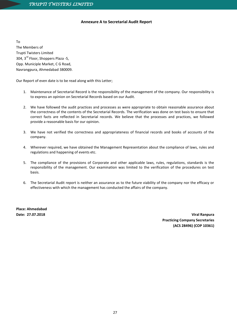# **Annexure A to Secretarial Audit Report**

To The Members of Trupti Twisters Limited 304, 3<sup>rd</sup> Floor, Shoppers Plaza -5, Opp. Municiple Market, C G Road, Navrangpura, Ahmedabad 380009.

Our Report of even date is to be read along with this Letter;

- 1. Maintenance of Secretarial Record is the responsibility of the management of the company. Our responsibility is to express an opinion on Secretarial Records based on our Audit.
- 2. We have followed the audit practices and processes as were appropriate to obtain reasonable assurance about the correctness of the contents of the Secretarial Records. The verification was done on test basis to ensure that correct facts are reflected in Secretarial records. We believe that the processes and practices, we followed provide a reasonable basis for our opinion.
- 3. We have not verified the correctness and appropriateness of financial records and books of accounts of the company.
- 4. Wherever required, we have obtained the Management Representation about the compliance of laws, rules and regulations and happening of events etc.
- 5. The compliance of the provisions of Corporate and other applicable laws, rules, regulations, standards is the responsibility of the management. Our examination was limited to the verification of the procedures on test basis.
- 6. The Secretarial Audit report is neither an assurance as to the future viability of the company nor the efficacy or effectiveness with which the management has conducted the affairs of the company.

**Place: Ahmedabad**

**Date: 27.07.2018 Viral Ranpura Practicing Company Secretaries (ACS 28496) (COP 10361)**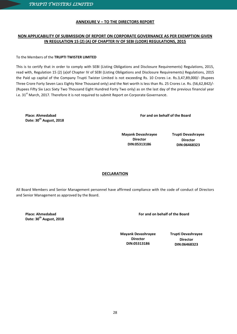# **ANNEXURE V – TO THE DIRECTORS REPORT**

# **NON APPLICABILITY OF SUBMISSION OF REPORT ON CORPORATE GOVERNANCE AS PER EXEMPTION GIVEN IN REGULATION 15 (2) (A) OF CHAPTER IV OF SEBI (LODR) REGULATIONS, 2015**

# To the Members of the **TRUPTI TWISTER LIMITED**

This is to certify that in order to comply with SEBI (Listing Obligations and Disclosure Requirements) Regulations, 2015, read with, Regulation 15 (2) (a)of Chapter IV of SEBI (Listing Obligations and Disclosure Requirements) Regulations, 2015 the Paid up capital of the Company Trupti Twister Limited is not exceeding Rs. 10 Crores i.e. Rs.3,47,89,000/- (Rupees Three Crore Forty Seven Lacs Eighty Nine Thousand only) and the Net worth is less than Rs. 25 Crores i.e. Rs. (56,62,842)/- (Rupees Fifty Six Lacs Sixty Two Thousand Eight Hundred Forty Two only) as on the last day of the previous financial year i.e. 31 $^{\text{st}}$  March, 2017. Therefore it is not required to submit Report on Corporate Governance.

**Place: Ahmedabad Date: 30 th August, 2018**  **For and on behalf of the Board**

**Mayank Devashrayee Director DIN:05313186**

**Trupti Devashrayee Director DIN:06468323**

# **DECLARATION**

All Board Members and Senior Management personnel have affirmed compliance with the code of conduct of Directors and Senior Management as approved by the Board.

**Place: Ahmedabad Date: 30 th August, 2018** **For and on behalf of the Board**

**Mayank Devashrayee Director DIN:05313186**

**Trupti Devashrayee Director DIN:06468323**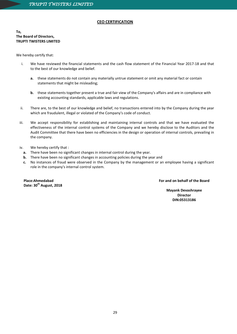# **CEO CERTIFICATION**

**To, The Board of Directors, TRUPTI TWISTERS LIMITED**

We hereby certify that:

- i. We have reviewed the financial statements and the cash flow statement of the Financial Year 2017-18 and that to the best of our knowledge and belief.
	- **a.** these statements do not contain any materially untrue statement or omit any material fact or contain statements that might be misleading;
	- **b.** these statements together present a true and fair view of the Company's affairs and are in compliance with existing accounting standards, applicable laws and regulations.
- ii. There are, to the best of our knowledge and belief, no transactions entered into by the Company during the year which are fraudulent, illegal or violated of the Company's code of conduct.
- iii. We accept responsibility for establishing and maintaining internal controls and that we have evaluated the effectiveness of the internal control systems of the Company and we hereby disclose to the Auditors and the Audit Committee that there have been no efficiencies in the design or operation of internal controls, prevailing in the company.
- iv. We hereby certify that :
	- **a.** There have been no significant changes in internal control during the year.
	- **b.** There have been no significant changes in accounting policies during the year and
	- **c.** No instances of fraud were observed in the Company by the management or an employee having a significant role in the company's internal control system.

**Place:Ahmedabad Date: 30th August, 2018** **For and on behalf of the Board**

**Mayank Devashrayee Director DIN:05313186**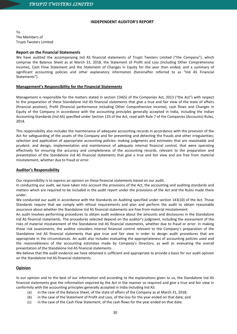# **INDEPENDENT AUDITOR'S REPORT**

To The Members of Trupti Twisters Limited

# **Report on the Financial Statements**

We have audited the accompanying Ind AS financial statements of Trupti Twisters Limited ("the Company"), which comprise the Balance Sheet as at March 31, 2018, the Statement of Profit and Loss (including Other Comprehensive Income), Cash Flow Statement and the Statement of Changes in Equity for the year then ended, and a summary of significant accounting policies and other explanatory information (hereinafter referred to as "Ind AS Financial Statements").

# **Management's Responsibility for the Financial Statements**

Management is responsible for the matters stated in section 134(5) of the Companies Act, 2013 ("the Act") with respect to the preparation of these Standalone Ind AS financial statements that give a true and fair view of the state of affairs (financial position), Profit (financial performance including Other Comprehensive Income), cash flows and Changes in Equity of the Company in accordance with the accounting principles generally accepted in India, including the Indian Accounting Standards (Ind AS) specified under Section 133 of the Act, read with Rule 7 of the Companies (Accounts) Rules, 2014.

This responsibility also includes the maintenance of adequate accounting records in accordance with the provision of the Act for safeguarding of the assets of the Company and for preventing and detecting the frauds and other irregularities; selection and application of appropriate accounting policies; making judgments and estimates that are reasonable and prudent; and design, implementation and maintenance of adequate internal financial control, that were operating effectively for ensuring the accuracy and completeness of the accounting records, relevant to the preparation and presentation of the Standalone Ind AS financial statements that give a true and fair view and are free from material misstatement, whether due to fraud or error.

# **Auditor's Responsibility**

Our responsibility is to express an opinion on these financial statements based on our audit.

In conducting our audit, we have taken into account the provisions of the Act, the accounting and auditing standards and matters which are required to be included in the audit report under the provisions of the Act and the Rules made there under.

We conducted our audit in accordance with the Standards on Auditing specified under section 143(10) of the Act. Those Standards require that we comply with ethical requirements and plan and perform the audit to obtain reasonable assurance about whether the Standalone Ind AS financial statements are free from material misstatement.

An audit involves performing procedures to obtain audit evidence about the amounts and disclosures in the Standalone Ind AS financial statements. The procedures selected depend on the auditor's judgment, including the assessment of the risks of material misstatement of the Standalone Ind AS financial statements, whether due to fraud or error. In making those risk assessments, the auditor considers internal financial control relevant to the Company's preparation of the Standalone Ind AS financial statements that give true and fair view in order to design audit procedures that are appropriate in the circumstances. An audit also includes evaluating the appropriateness of accounting policies used and the reasonableness of the accounting estimates made by Company's Directors, as well as evaluating the overall presentation of the Standalone Ind AS financial statements.

We believe that the audit evidence we have obtained is sufficient and appropriate to provide a basis for our audit opinion on the Standalone Ind AS financial statements.

# **Opinion**

In our opinion and to the best of our information and according to the explanations given to us, the Standalone Ind AS financial statements give the information required by the Act in the manner so required and give a true and fair view in conformity with the accounting principles generally accepted in India including Ind AS:

- (a) in the case of the Balance Sheet, of the state of affairs of the Company as at March 31, 2018;
- (b) in the case of the Statement of Profit and Loss, of the loss for the year ended on that date; and
- (c) in the case of the Cash Flow Statement, of the cash flows for the year ended on that date.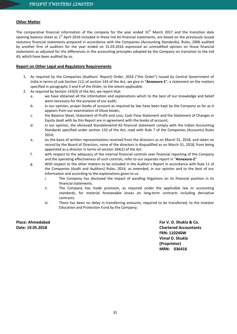# **Other Matter**

The comparative financial information of the company for the year ended  $31<sup>st</sup>$  March 2017 and the transition date opening balance sheet as 1<sup>st</sup> April 2016 included in these Ind AS financial statements, are based on the previously issued statutory financial statements prepared in accordance with the Companies (Accounting Standards), Rules, 2006 audited by another firm of auditors for the year ended on 31.03.2016 expressed an unmodified opinion on those financial statements as adjusted for the differences in the accounting principles adopted by the Company on transition to the Ind AS, which have been audited by us.

# **Report on Other Legal and Regulatory Requirements**

- 1. As required by the Companies (Auditors' Report) Order, 2016 ("the Order") issued by Central Government of India in terms of sub-Section (11) of section 143 of the Act, we give in "**Annexure-1**", a statement on the matters specified in paragraphs 3 and 4 of the Order, to the extent applicable.
- 2. As required by Section 143(3) of the Act, we report that:
	- a. we have obtained all the information and explanations which to the best of our knowledge and belief were necessary for the purpose of our audit;
	- b. in our opinion, proper books of account as required by law have been kept by the Company so far as it appears from our examination of those books;
	- c. the Balance Sheet, Statement of Profit and Loss, Cash Flow Statement and the Statement of Changes in Equity dealt with by this Report are in agreement with the books of account;
	- d. in our opinion, the aforesaid StandaloneInd AS financial statement comply with the Indian Accounting Standards specified under section 133 of the Act, read with Rule 7 of the Companies (Accounts) Rules 2014;
	- e. on the basis of written representations received from the directors as on March 31, 2018, and taken on record by the Board of Directors, none of the directors is disqualified as on March 31, 2018, from being appointed as a director in terms of section 164(2) of the Act.
	- f. with respect to the adequacy of the internal financial controls over financial reporting of the Company and the operating effectiveness of such controls, refer to our separate report in "**Annexure-2**".
	- g. With respect to the other matters to be included in the Auditor's Report in accordance with Rule 11 of the Companies (Audit and Auditors) Rules, 2014, as amended, in our opinion and to the best of our information and according to the explanations given to us:
		- i. The Company has disclosed the impact of pending litigations on its financial position in its financial statements.
		- ii. The Company has made provision, as required under the applicable law or accounting standards, for material foreseeable losses on long-term contracts including derivative contracts.
		- iii. There has been no delay in transferring amounts, required to be transferred, to the Investor Education and Protection Fund by the Company;

**Place: Ahmedabad For V. D. Shukla & Co. Date: 19.05.2018 Chartered Accountants FRN: 110240W Vimal D. Shukla (Proprietor) MRN: 036416**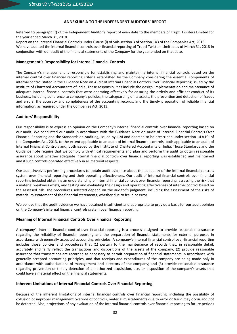# **ANNEXURE A TO THE INDEPENDENT AUDITORS' REPORT**

Referred to paragraph (f) of the Independent Auditor's report of even date to the members of Trupti Twisters Limited for the year ended March 31, 2018

Report on the Internal Financial Controls under Clause (i) of Sub-section 3 of Section 143 of the Companies Act, 2013 We have audited the internal financial controls over financial reporting of Trupti Twisters Limited as of March 31, 2018 in conjunction with our audit of the financial statements of the Company for the year ended on that date.

# **Management's Responsibility for Internal Financial Controls**

The Company's management is responsible for establishing and maintaining internal financial controls based on the internal control over financial reporting criteria established by the Company considering the essential components of internal control stated in the Guidance Note on Audit of Internal Financial Controls Over Financial Reporting issued by the Institute of Chartered Accountants of India. These responsibilities include the design, implementation and maintenance of adequate internal financial controls that were operating effectively for ensuring the orderly and efficient conduct of its business, including adherence to company's policies, the safeguarding of its assets, the prevention and detection of frauds and errors, the accuracy and completeness of the accounting records, and the timely preparation of reliable financial information, as required under the Companies Act, 2013.

# **Auditors' Responsibility**

Our responsibility is to express an opinion on the Company's internal financial controls over financial reporting based on our audit. We conducted our audit in accordance with the Guidance Note on Audit of Internal Financial Controls Over Financial Reporting and the Standards on Auditing, issued by ICAI and deemed to be prescribed under section 143(10) of the Companies Act, 2013, to the extent applicable to an audit of internal financial controls, both applicable to an audit of Internal Financial Controls and, both issued by the Institute of Chartered Accountants of India. Those Standards and the Guidance note require that we comply with ethical requirements and plan and perform the audit to obtain reasonable assurance about whether adequate internal financial controls over financial reporting was established and maintained and if such controls operated effectively in all material respects.

Our audit involves performing procedures to obtain audit evidence about the adequacy of the internal financial controls system over financial reporting and their operating effectiveness. Our audit of internal financial controls over financial reporting included obtaining an understanding of internal financial controls over financial reporting, assessing the risk that a material weakness exists, and testing and evaluating the design and operating effectiveness of internal control based on the assessed risk. The procedures selected depend on the auditor's judgment, including the assessment of the risks of material misstatement of the financial statements, whether due to fraud or error.

We believe that the audit evidence we have obtained is sufficient and appropriate to provide a basis for our audit opinion on the Company's internal financial controls system over financial reporting.

# **Meaning of Internal Financial Controls Over Financial Reporting**

A company's internal financial control over financial reporting is a process designed to provide reasonable assurance regarding the reliability of financial reporting and the preparation of financial statements for external purposes in accordance with generally accepted accounting principles. A company's internal financial control over financial reporting includes those policies and procedures that (1) pertain to the maintenance of records that, in reasonable detail, accurately and fairly reflect the transactions and dispositions of the assets of the company; (2) provide reasonable assurance that transactions are recorded as necessary to permit preparation of financial statements in accordance with generally accepted accounting principles, and that receipts and expenditures of the company are being made only in accordance with authorizations of management and directors of the company; and (3) provide reasonable assurance regarding prevention or timely detection of unauthorized acquisition, use, or disposition of the company's assets that could have a material effect on the financial statements.

# **Inherent Limitations of Internal Financial Controls Over Financial Reporting**

Because of the inherent limitations of internal financial controls over financial reporting, including the possibility of collusion or improper management override of controls, material misstatements due to error or fraud may occur and not be detected. Also, projections of any evaluation of the internal financial controls over financial reporting to future periods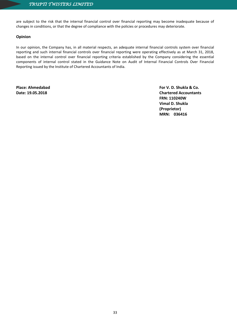are subject to the risk that the internal financial control over financial reporting may become inadequate because of changes in conditions, or that the degree of compliance with the policies or procedures may deteriorate.

# **Opinion**

In our opinion, the Company has, in all material respects, an adequate internal financial controls system over financial reporting and such internal financial controls over financial reporting were operating effectively as at March 31, 2018, based on the internal control over financial reporting criteria established by the Company considering the essential components of internal control stated in the Guidance Note on Audit of Internal Financial Controls Over Financial Reporting issued by the Institute of Chartered Accountants of India.

**Place: Ahmedabad For V. D. Shukla & Co. Date: 19.05.2018 Chartered Accountants FRN: 110240W Vimal D. Shukla (Proprietor) MRN: 036416**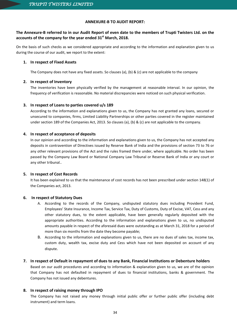# **ANNEXURE-B TO AUDIT REPORT:**

# **The Annexure-B referred to in our Audit Report of even date to the members of Trupti Twisters Ltd. on the accounts of the company for the year ended 31st March, 2018.**

On the basis of such checks as we considered appropriate and according to the information and explanation given to us during the course of our audit, we report to the extent:

# **1. In respect of Fixed Assets**

The Company does not have any fixed assets. So clauses (a), (b) & (c) are not applicable to the company

# **2. In respect of Inventory**

The inventories have been physically verified by the management at reasonable interval. In our opinion, the frequency of verification is reasonable. No material discrepancies were noticed on such physical verification.

# **3. In respect of Loans to parties covered u/s 189**

According to the information and explanations given to us, the Company has not granted any loans, secured or unsecured to companies, firms, Limited Liability Partnerships or other parties covered in the register maintained under section 189 of the Companies Act, 2013. So clauses (a), (b) & (c) are not applicable to the company.

# **4. In respect of acceptance of deposits**

In our opinion and according to the information and explanations given to us, the Company has not accepted any deposits in contravention of Directives issued by Reserve Bank of India and the provisions of section 73 to 76 or any other relevant provisions of the Act and the rules framed there under, where applicable. No order has been passed by the Company Law Board or National Company Law Tribunal or Reserve Bank of India or any court or any other tribunal..

# **5. In respect of Cost Records**

It has been explained to us that the maintenance of cost records has not been prescribed under section 148(1) of the Companies act, 2013.

# **6. In respect of Statutory Dues**

- A. According to the records of the Company, undisputed statutory dues including Provident Fund, Employees' State Insurance, Income Tax, Service Tax, Duty of Customs, Duty of Excise, VAT, Cess and any other statutory dues, to the extent applicable, have been generally regularly deposited with the appropriate authorities. According to the information and explanations given to us, no undisputed amounts payable in respect of the aforesaid dues were outstanding as at March 31, 2018 for a period of more than six months from the date they become payable;
- B. According to the information and explanations given to us, there are no dues of sales tax, income tax, custom duty, wealth tax, excise duty and Cess which have not been deposited on account of any dispute.

# **7. In respect of Default in repayment of dues to any Bank, Financial Institutions or Debenture holders**

Based on our audit procedures and according to information & explanation given to us, we are of the opinion that Company has not defaulted in repayment of dues to financial institutions, banks & government. The Company has not issued any debentures.

# **8. In respect of raising money through IPO**

The Company has not raised any money through initial public offer or further public offer (including debt instrument) and term loans.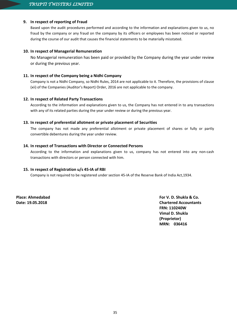# **9. In respect of reporting of Fraud**

Based upon the audit procedures performed and according to the information and explanations given to us, no fraud by the company or any fraud on the company by its officers or employees has been noticed or reported during the course of our audit that causes the financial statements to be materially misstated.

# **10. In respect of Managerial Remuneration**

No Managerial remuneration has been paid or provided by the Company during the year under review or during the previous year.

# **11. In respect of the Company being a Nidhi Company**

Company is not a Nidhi Company, so Nidhi Rules, 2014 are not applicable to it. Therefore, the provisions of clause (xii) of the Companies (Auditor's Report) Order, 2016 are not applicable to the company.

# **12. In respect of Related Party Transactions**

According to the information and explanations given to us, the Company has not entered in to any transactions with any of its related parties during the year under review or during the previous year.

# **13. In respect of preferential allotment or private placement of Securities**

The company has not made any preferential allotment or private placement of shares or fully or partly convertible debentures during the year under review.

# **14. In respect of Transactions with Director or Connected Persons**

According to the information and explanations given to us, company has not entered into any non-cash transactions with directors or person connected with him.

# **15. In respect of Registration u/s 45-IA of RBI**

Company is not required to be registered under section 45-IA of the Reserve Bank of India Act,1934.

**Place: Ahmedabad For V. D. Shukla & Co. Date: 19.05.2018 Chartered Accountants FRN: 110240W Vimal D. Shukla (Proprietor) MRN: 036416**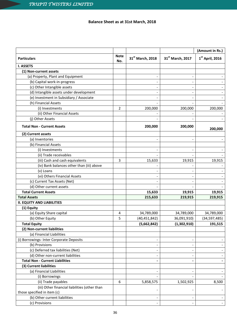# **Balance Sheet as at 31st March, 2018**

|                                               |                    |                              |                  | (Amount in Rs.)   |
|-----------------------------------------------|--------------------|------------------------------|------------------|-------------------|
| <b>Particulars</b>                            | <b>Note</b><br>No. | 31st March, 2018             | 31st March, 2017 | $1st$ April, 2016 |
| <b>I. ASSETS</b>                              |                    |                              |                  |                   |
| (1) Non-current assets                        |                    |                              |                  |                   |
| (a) Property, Plant and Equipment             |                    | $\overline{\phantom{a}}$     |                  |                   |
| (b) Capital work-in-progress                  |                    |                              |                  |                   |
| (c) Other Intangible assets                   |                    |                              |                  |                   |
| (d) Intangible assets under development       |                    |                              |                  |                   |
| (e) Investment in Subsidiary / Associate      |                    | $\qquad \qquad \blacksquare$ |                  |                   |
| (h) Financial Assets                          |                    |                              |                  |                   |
| (i) Investments                               | $\overline{2}$     | 200,000                      | 200,000          | 200,000           |
| (ii) Other Financial Assets                   |                    |                              |                  |                   |
| (j) Other Assets                              |                    |                              |                  |                   |
| <b>Total Non - Current Assets</b>             |                    | 200,000                      | 200,000          | 200,000           |
| (2) Current assets                            |                    |                              |                  |                   |
| (a) Inventories                               |                    | $\qquad \qquad -$            |                  |                   |
| (b) Financial Assets                          |                    |                              |                  |                   |
| (i) Investments                               |                    |                              |                  |                   |
| (ii) Trade receivables                        |                    |                              |                  |                   |
| (iii) Cash and cash equivalents               | 3                  | 15,633                       | 19,915           | 19,915            |
| (iv) Bank balances other than (iii) above     |                    |                              |                  |                   |
| (v) Loans                                     |                    |                              |                  |                   |
| (vi) Others Financial Assets                  |                    |                              |                  |                   |
| (c) Current Tax Assets (Net)                  |                    | $\overline{\phantom{a}}$     |                  |                   |
| (d) Other current assets                      |                    |                              |                  |                   |
| <b>Total Current Assets</b>                   |                    | 15,633                       | 19,915           | 19,915            |
| <b>Total Assets</b>                           |                    | 215,633                      | 219,915          | 219,915           |
| <b>II. EQUITY AND LIABILITIES</b>             |                    |                              |                  |                   |
| (1) Equity                                    |                    |                              |                  |                   |
| (a) Equity Share capital                      | 4                  | 34,789,000                   | 34,789,000       | 34,789,000        |
| (b) Other Equity                              | 5                  | (40, 451, 842)               | 36,091,910)      | (34, 597, 485)    |
| <b>Total Equity</b>                           |                    | (5,662,842)                  | (1,302,910)      | 191,515           |
| (2) Non-current liabilities                   |                    |                              |                  |                   |
| (a) Financial Liabilities                     |                    |                              |                  |                   |
| (i) Borrowings- Inter Corporate Deposits      |                    | $\overline{\phantom{a}}$     |                  |                   |
| (b) Provisions                                |                    |                              |                  |                   |
| (c) Deferred tax liabilities (Net)            |                    | $\overline{\phantom{a}}$     |                  |                   |
| (d) Other non-current liabilities             |                    |                              |                  |                   |
| <b>Total Non - Current Liabilities</b>        |                    |                              |                  |                   |
| (3) Current liabilities                       |                    |                              |                  |                   |
| (a) Financial Liabilities                     |                    | $\overline{\phantom{a}}$     |                  |                   |
| (i) Borrowings                                |                    |                              |                  |                   |
| (ii) Trade payables                           | 6                  | 5,858,575                    | 1,502,925        | 8,500             |
| (iii) Other financial liabilities (other than |                    |                              |                  |                   |
| those specified in item (c)                   |                    |                              |                  |                   |
| (b) Other current liabilities                 |                    | $\overline{\phantom{a}}$     |                  |                   |
| (c) Provisions                                |                    |                              |                  |                   |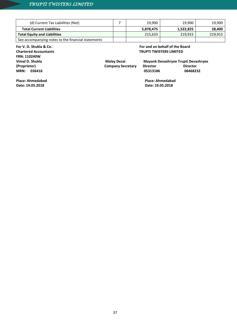| (d) Current Tax Liabilities (Net)                  | 19,900    | 19,900    | 19,900  |
|----------------------------------------------------|-----------|-----------|---------|
| <b>Total Current Liabilities</b>                   | 5,878,475 | 1,522,825 | 28,400  |
| <b>Total Equity and Liabilities</b>                | 215.633   | 219.915   | 219,915 |
| See accompanying notes to the financial statements |           |           |         |

# **For V. D. Shukla & Co.**

**Chartered Accountants FRN: 110240W Vimal D. Shukla (Proprietor) MRN: 036416**

# **For and on behalf of the Board TRUPTI TWISTERS LIMITED**

 **Malay Desai Mayank Devashryee Trupti Devashryee** 05313186

**Company Secretary Director Director Director<br>05313186 06468232** 

**Place: Ahmedabad Date: 19.05.2018**

 **Place: Ahmedabad Date: 19.05.2018**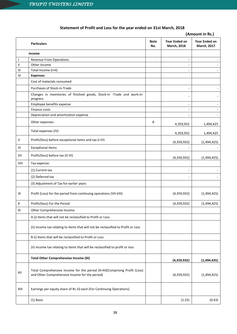# **Statement of Profit and Loss for the year ended on 31st March, 2018**

# **(Amount in Rs.) Particulars Note No. Year Ended on March, 2018 Year Ended on March, 2017 Income** I Revenue From Operations - - II Other Income - - III Total Income (I+II) - - IV **Expenses** Cost of materials consumed Purchases of Stock-in-Trade - - Changes in inventories of finished goods, Stock-in -Trade and work-in-<br>progress and the stock-in of the stock of the stock of the stock of the stock of the stock of the stock of the Employee benefits expense and the set of the set of the set of the set of the set of the set of the set of the set of the set of the set of the set of the set of the set of the set of the set of the set of the set of the s Finance costs - - Depreciation and amortization expense and amortization expense and a set of the set of the set of the set of the set of the set of the set of the set of the set of the set of the set of the set of the set of the set of the Other expenses and the set of the set of the set of the set of the set of the set of the set of the set of the set of the set of the set of the set of the set of the set of the set of the set of the set of the set of the s 4,359,932 1,494,425 Total expenses (IV) 4,359,932 1,494,425 V | Profit/(loss) before exceptional items and tax (I-IV) (4,359,932) (1,494,425) VI Exceptional Items VII Profit/(loss) before tax (V-VI) (4,359,932) (1,494,425) VIII | Tax expense: (1) Current tax  $\overline{\phantom{a}}$ (2) Deferred tax  $\overline{\phantom{a}}$  and  $\overline{\phantom{a}}$  and  $\overline{\phantom{a}}$  and  $\overline{\phantom{a}}$  and  $\overline{\phantom{a}}$  and  $\overline{\phantom{a}}$  and  $\overline{\phantom{a}}$  and  $\overline{\phantom{a}}$  and  $\overline{\phantom{a}}$  and  $\overline{\phantom{a}}$  and  $\overline{\phantom{a}}$  and  $\overline{\phantom{a}}$  and  $\overline{\phantom{a}}$  (3) Adjustment of Tax for earlier years IX Profit (Loss) for the period from continuing operations (VII-VIII)  $(4.359.932)$  (1,494,425)  $X = \begin{bmatrix} \text{Profit/(loss)} \text{ For the Period} \end{bmatrix}$  (4,359,932) (1,494,425) XI Other Comprehensive Income A (i) Items that will not be reclassified to Profit or Loss (ii) Income tax relating to items that will not be reclassified to Profit or Loss B (i) Items that will be reclassified to Profit or Loss (ii) Income tax relating to items that will be reclassified to profit or loss **Total Other Comprehensive Income (XI) (4,359,932) (1,494,425)** XII Total Comprehensive Income for the period (X+XI)(Comprising Profit (Loss) and Other Comprehensive Income for the period) (4,359,932) (1,494,425) XIII Earnings per equity share of Rs 10 each (For Continuing Operations) (1) Basic (1.25) (0.43)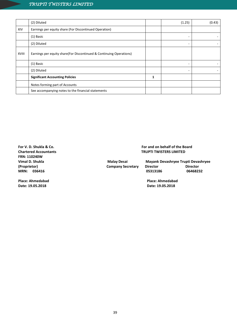|       | (2) Diluted                                                          |   | (1.25) | (0.43) |
|-------|----------------------------------------------------------------------|---|--------|--------|
| XIV   | Earnings per equity share (For Discontinued Operation)               |   |        |        |
|       | (1) Basic                                                            |   |        |        |
|       | (2) Diluted                                                          |   |        |        |
| XVIII | Earnings per equity share (For Discontinued & Continuing Operations) |   |        |        |
|       | (1) Basic                                                            |   |        |        |
|       | (2) Diluted                                                          |   | ۰      |        |
|       | <b>Significant Accounting Policies</b>                               | 1 |        |        |
|       | Notes forming part of Accounts                                       |   |        |        |
|       | See accompanying notes to the financial statements                   |   |        |        |

**For V. D. Shukla & Co. Chartered Accountants FRN: 110240W Vimal D. Shukla (Proprietor) MRN: 036416**

**Place: Ahmedabad Date: 19.05.2018**

 **For and on behalf of the Board TRUPTI TWISTERS LIMITED**

 **Malay Desai Mayank Devashryee Trupti Devashryee Company Secretary Director Director Director 05313186 06468232**

> **Place: Ahmedabad Date: 19.05.2018**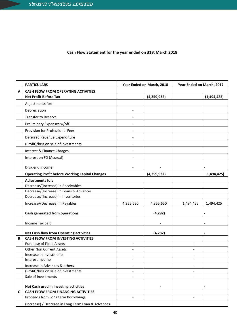# **Cash Flow Statement for the year ended on 31st March 2018**

|   | <b>PARTICULARS</b>                                                            | Year Ended on March, 2018                  |             | Year Ended on March, 2017 |                              |
|---|-------------------------------------------------------------------------------|--------------------------------------------|-------------|---------------------------|------------------------------|
| Α | <b>CASH FLOW FROM OPERATING ACTIVITIES</b>                                    |                                            |             |                           |                              |
|   | <b>Net Profit Before Tax</b>                                                  |                                            | (4,359,932) |                           | (1,494,425)                  |
|   | Adjustments for:                                                              |                                            |             |                           |                              |
|   | Depreciation                                                                  | $\overline{\phantom{a}}$                   |             |                           |                              |
|   | <b>Transfer to Reserve</b>                                                    |                                            |             |                           |                              |
|   | Preliminary Expenses w/off                                                    | $\overline{a}$                             |             |                           |                              |
|   | Provision for Professional Fees                                               | $\overline{\phantom{a}}$                   |             |                           |                              |
|   | Deferred Revenue Expenditure                                                  | $\overline{\phantom{m}}$                   |             |                           |                              |
|   | (Profit)/loss on sale of Investments                                          | $\overline{a}$                             |             |                           |                              |
|   | Interest & Finance Charges                                                    | $\overline{\phantom{a}}$                   |             |                           |                              |
|   | Interest on FD (Accrual)                                                      |                                            |             |                           |                              |
|   | Dividend Income                                                               | $\overline{\phantom{a}}$                   |             |                           |                              |
|   | <b>Operating Profit before Working Capital Changes</b>                        |                                            | (4,359,932) |                           | 1,494,425)                   |
|   | <b>Adjustments for:</b>                                                       |                                            |             |                           |                              |
|   | Decrease/(Increase) in Receivables                                            |                                            |             |                           |                              |
|   | Decrease/(Increase) in Loans & Advances                                       |                                            |             |                           |                              |
|   | Decrease/(Increase) in Inventories                                            |                                            |             |                           |                              |
|   | Increase/(Decrease) in Payables                                               | 4,355,650                                  | 4,355,650   | 1,494,425                 | 1,494,425                    |
|   |                                                                               |                                            |             |                           |                              |
|   | Cash generated from operations                                                |                                            | (4, 282)    |                           | $\blacksquare$               |
|   | Income Tax paid                                                               |                                            |             |                           | $\qquad \qquad \blacksquare$ |
|   |                                                                               |                                            |             |                           |                              |
|   | <b>Net Cash flow from Operating activities</b>                                |                                            | (4, 282)    |                           | $\blacksquare$               |
| B | <b>CASH FLOW FROM INVESTING ACTIVITIES</b><br><b>Purchase of Fixed Assets</b> |                                            |             |                           |                              |
|   | <b>Other Non Current Assets</b>                                               | $\overline{\phantom{a}}$<br>$\overline{a}$ |             |                           |                              |
|   | Increase in Investments                                                       | $\overline{\phantom{a}}$                   |             |                           |                              |
|   | Interest Income                                                               | $\overline{a}$                             |             |                           |                              |
|   | Increase in Advances & others                                                 | $\overline{\phantom{0}}$                   |             | $\overline{a}$            |                              |
|   | (Profit)/loss on sale of Investments                                          | $\overline{\phantom{0}}$                   |             |                           |                              |
|   | Sale of Investments                                                           |                                            |             |                           |                              |
|   |                                                                               |                                            |             |                           |                              |
|   | Net Cash used in Investing activities                                         |                                            |             |                           | $\qquad \qquad \blacksquare$ |
| C | <b>CASH FLOW FROM FINANCING ACTIVITIES</b>                                    |                                            |             |                           |                              |
|   | Proceeds from Long term Borrowings                                            | $\overline{\phantom{0}}$                   |             | $\overline{\phantom{a}}$  |                              |
|   | (Increase) / Decrease in Long Term Loan & Advances                            |                                            |             |                           |                              |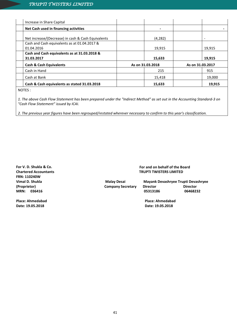| Increase in Share Capital                                  |                  |                  |                          |
|------------------------------------------------------------|------------------|------------------|--------------------------|
| Net Cash used in financing activities                      |                  |                  |                          |
| Net increase/(Decrease) in cash & Cash Equivalents         | (4, 282)         |                  | $\overline{\phantom{a}}$ |
| Cash and Cash equivalents as at 01.04.2017 &<br>01.04.2016 | 19,915           |                  | 19,915                   |
| Cash and Cash equivalents as at 31.03.2018 &<br>31.03.2017 | 15,633           |                  | 19,915                   |
| <b>Cash &amp; Cash Equivalents</b>                         | As on 31.03.2018 | As on 31.03.2017 |                          |
| Cash in Hand                                               | 215              |                  | 915                      |
| Cash at Bank                                               | 15,418           |                  | 19,000                   |
| Cash & Cash equivalents as stated 31.03.2018               | 15,633           |                  | 19,915                   |
| $N = 5$                                                    |                  |                  |                          |

NOTES :

*1. The above Cash Flow Statement has been prepared under the "Indirect Method" as set out in the Accounting Standard-3 on "Cash Flow Statement" issued by ICAI.*

*2. The previous year figures have been regrouped/restated wherever necessary to confirm to this year's classification.*

**For V. D. Shukla & Co. Chartered Accountants FRN: 110240W Vimal D. Shukla (Proprietor) MRN: 036416**

**Place: Ahmedabad Date: 19.05.2018**

 **For and on behalf of the Board TRUPTI TWISTERS LIMITED**

**Company Secretary Director<br>05313186** 

 **Malay Desai Mayank Devashryee Trupti Devashryee 05313186 06468232**

> **Place: Ahmedabad Date: 19.05.2018**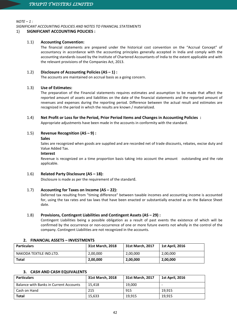*NOTE – 1 :*

*SIGNIFICANT ACCOUNTING POLICIES AND NOTES TO FINANCIAL STATEMENTS*

# 1) **SIGNIFICANT ACCOUNTING POLICIES :**

# 1.1) **Accounting Convention:**

The financial statements are prepared under the historical cost convention on the "Accrual Concept" of accountancy in accordance with the accounting principles generally accepted in India and comply with the accounting standards issued by the Institute of Chartered Accountants of India to the extent applicable and with the relevant provisions of the Companies Act, 2013.

# 1.2) **Disclosure of Accounting Policies (AS – 1) :**

The accounts are maintained on accrual basis as a going concern.

# 1.3) **Use of Estimates:**

The preparation of the Financial statements requires estimates and assumption to be made that affect the reported amount of assets and liabilities on the date of the financial statements and the reported amount of revenues and expenses during the reporting period. Difference between the actual result and estimates are recognized in the period in which the results are known / materialized.

# 1.4) **Net Profit or Loss for the Period, Prior Period Items and Changes in Accounting Policies :**

Appropriate adjustments have been made in the accounts in conformity with the standard.

# 1.5) **Revenue Recognition (AS – 9) :**

# **Sales**

Sales are recognized when goods are supplied and are recorded net of trade discounts, rebates, excise duty and Value Added Tax.

# **Interest**

Revenue is recognized on a time proportion basis taking into account the amount outstanding and the rate applicable.

# 1.6) **Related Party Disclosure (AS – 18):**

Disclosure is made as per the requirement of the standard.

# 1.7) **Accounting for Taxes on Income (AS – 22):**

Deferred tax resulting from "timing difference" between taxable incomes and accounting income is accounted for, using the tax rates and tax laws that have been enacted or substantially enacted as on the Balance Sheet date.

# 1.8) **Provisions, Contingent Liabilities and Contingent Assets (AS – 29) :**

Contingent Liabilities being a possible obligation as a result of past events the existence of which will be confirmed by the occurrence or non-occurrence of one or more future events not wholly in the control of the company. Contingent Liabilities are not recognized in the accounts.

| <u> 4. FINANCIAL ASSETS – INVESTIVIENTS</u> |                  |                  |                        |  |  |
|---------------------------------------------|------------------|------------------|------------------------|--|--|
| <b>Particulars</b>                          | 31st March, 2018 | 31st March, 2017 | <b>1st April, 2016</b> |  |  |
| NAKODA TEXTILE IND.LTD.                     | 2,00,000         | 2,00,000         | 2,00,000               |  |  |
| Total                                       | 2,00,000         | 2,00,000         | 2,00,000               |  |  |

# **2. FINANCIAL ASSETS – INVESTMENTS**

# **3. CASH AND CASH EQUIVALENTS**

| <b>Particulars</b>                            | 31st March, 2018 | 31st March, 2017 | <b>1st April, 2016</b> |
|-----------------------------------------------|------------------|------------------|------------------------|
| <b>Balance with Banks in Current Accounts</b> | 15.418           | 19.000           |                        |
| Cash on Hand                                  | 215              | 915              | 19.915                 |
| <b>Total</b>                                  | 15.633           | 19,915           | 19.915                 |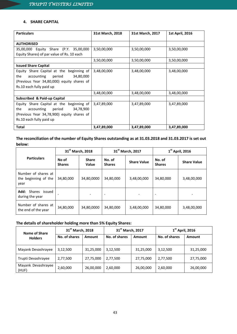# **4. SHARE CAPITAL**

| <b>Particulars</b>                         | 31st March, 2018 | 31st March, 2017 | <b>1st April, 2016</b> |
|--------------------------------------------|------------------|------------------|------------------------|
|                                            |                  |                  |                        |
| <b>AUTHORISED</b>                          |                  |                  |                        |
| 35,00,000 Equity Share (P.Y. 35,00,000     | 3,50,00,000      | 3,50,00,000      | 3,50,00,000            |
| Equity Shares) of par value of Rs. 10 each |                  |                  |                        |
|                                            | 3,50,00,000      | 3,50,00,000      | 3,50,00,000            |
| <b>Issued Share Capital</b>                |                  |                  |                        |
| Equity Share Capital at the beginning of   | 3,48,00,000      | 3,48,00,000      | 3,48,00,000            |
| the<br>34,80,000<br>period<br>accounting   |                  |                  |                        |
| (Previous Year 34,80,000) equity shares of |                  |                  |                        |
| Rs.10 each fully paid up                   |                  |                  |                        |
|                                            | 3,48,00,000      | 3,48,00,000      | 3,48,00,000            |
| Subscribed & Paid-up Capital               |                  |                  |                        |
| Equity Share Capital at the beginning of   | 3,47,89,000      | 3,47,89,000      | 3,47,89,000            |
| the<br>34,78,900<br>accounting<br>period   |                  |                  |                        |
| (Previous Year 34,78,900) equity shares of |                  |                  |                        |
| Rs.10 each fully paid up                   |                  |                  |                        |
| <b>Total</b>                               | 3,47,89,000      | 3,47,89,000      | 3,47,89,000            |

# **The reconciliation of the number of Equity Shares outstanding as at 31.03.2018 and 31.03.2017 is set out below:**

|                                                     |                        | 31 <sup>st</sup> March, 2018 | 31 <sup>st</sup> March, 2017 |                    | $1st$ April, 2016        |                    |
|-----------------------------------------------------|------------------------|------------------------------|------------------------------|--------------------|--------------------------|--------------------|
| <b>Particulars</b>                                  | No of<br><b>Shares</b> | <b>Share</b><br>Value        | No. of<br><b>Shares</b>      | <b>Share Value</b> | No. of<br><b>Shares</b>  | <b>Share Value</b> |
| Number of shares at<br>the beginning of the<br>year | 34,80,000              | 34,80,0000                   | 34,80,000                    | 3,48,00,000        | 34,80,000                | 3,48,00,000        |
| Shares<br>Add:<br>issued<br>during the year         |                        |                              | $\overline{\phantom{0}}$     |                    | $\overline{\phantom{a}}$ |                    |
| Number of shares at<br>the end of the year          | 34,80,000              | 34,80,0000                   | 34,80,000                    | 3,48,00,000        | 34,80,000                | 3,48,00,000        |

# **The details of shareholder holding more than 5% Equity Shares:**

| Name of Share               | 31 <sup>st</sup> March, 2018 |           | 31 <sup>st</sup> March, 2017 |           | $1st$ April, 2016 |           |
|-----------------------------|------------------------------|-----------|------------------------------|-----------|-------------------|-----------|
| <b>Holders</b>              | No. of shares                | Amount    | No. of shares                | Amount    | No. of shares     | Amount    |
| Mayank Devashrayee          | 3,12,500                     | 31,25,000 | 3,12,500                     | 31,25,000 | 3,12,500          | 31,25,000 |
| Trupti Devashrayee          | 2,77,500                     | 27,75,000 | 2,77,500                     | 27,75,000 | 2,77,500          | 27,75,000 |
| Mayank Devashrayee<br>(HUF) | 2,60,000                     | 26,00,000 | 2,60,000                     | 26,00,000 | 2,60,000          | 26,00,000 |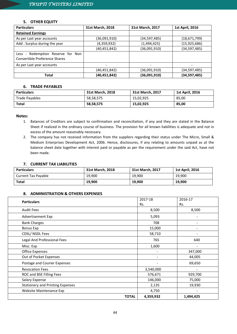# **5. OTHER EQUITY**

| <b>Particulars</b>                                                | 31st March, 2018 | 31st March, 2017 | 1st April, 2016 |
|-------------------------------------------------------------------|------------------|------------------|-----------------|
| <b>Retained Earnings</b>                                          |                  |                  |                 |
| As per Last year accounts                                         | (36,091,910)     | (34,597,485)     | (18,671,799)    |
| Add: Surplus during the year                                      | (4,359,932)      | (1,494,425)      | (15, 925, 686)  |
|                                                                   | (40, 451, 842)   | (36,091,910)     | (34, 597, 485)  |
| Less: Redemption Reserve for Non<br>Convertible Preference Shares |                  |                  |                 |
| As per Last year accounts                                         |                  |                  |                 |
|                                                                   | (40,451,842)     | (36,091,910)     | (34,597,485)    |
| Total                                                             | (40, 451, 842)   | (36,091,910)     | (34, 597, 485)  |

# **6. TRADE PAYABLES**

| <b>Particulars</b> | 31st March, 2018 | 31st March, 2017 | <b>1st April, 2016</b> |
|--------------------|------------------|------------------|------------------------|
| Trade Payables     | 58,58,575        | 15,02,925        | 85,00                  |
| <b>Total</b>       | 58,58,575        | 15,02,925        | 85,00                  |

# **Notes:**

- 1. Balances of Creditors are subject to confirmation and reconciliation, if any and they are stated in the Balance Sheet if realized in the ordinary course of business. The provision for all known liabilities is adequate and not in excess of the amount reasonably necessary.
- 2. The company has not received information from the suppliers regarding their status under The Micro, Small & Medium Enterprises Development Act, 2006. Hence, disclosures, if any relating to amounts unpaid as at the balance sheet date together with interest paid or payable as per the requirement under the said Act, have not been made.

# **7. CURRENT TAX LIABILITIES**

| <b>Particulars</b>  | 31st March, 2018 | 31st March, 2017 | <b>1st April, 2016</b> |
|---------------------|------------------|------------------|------------------------|
| Current Tax Payable | 19.900           | 19,900           | 19,900                 |
| <b>Total</b>        | 19,900           | 19,900           | 19,900                 |

# **8. ADMINISTRATION & OTHERS EXPENSES**

| <b>Particulars</b>                      | 2017-18                   | 2016-17                  |
|-----------------------------------------|---------------------------|--------------------------|
|                                         | Rs.                       | Rs.                      |
| <b>Audit Fees</b>                       | 8,500                     | 8,500                    |
| Advertisement Exp                       | 5,093                     |                          |
| <b>Bank Charges</b>                     | 708                       |                          |
| Bonus Exp                               | 15,000                    |                          |
| CDSL/ NSDL Fees                         | 58,710                    |                          |
| Legal And Professional Fees             | 765                       | 640                      |
| Misc. Exp                               | 1,600                     |                          |
| <b>Office Expenses</b>                  |                           | 347,000                  |
| Out of Pocket Expenses                  |                           | 44,005                   |
| Postage and Courier Expenses            | $\overline{\phantom{a}}$  | 69,650                   |
| <b>Revocation Fees</b>                  | 3,540,000                 | $\overline{\phantom{a}}$ |
| ROC and BSE Filling Fees                | 576,671                   | 929,700                  |
| <b>Salary Expense</b>                   | 146,000                   | 75,000                   |
| <b>Stationery and Printing Expenses</b> | 2,135                     | 19,930                   |
| Website Maintenance Exp                 | 4,750                     | $\overline{\phantom{a}}$ |
|                                         | <b>TOTAL</b><br>4,359,932 | 1,494,425                |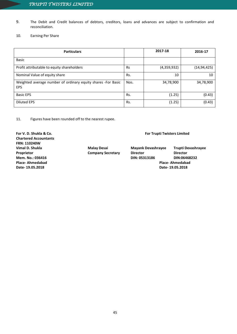- 9. The Debit and Credit balances of debtors, creditors, loans and advances are subject to confirmation and reconciliation.
- 10. Earning Per Share

| <b>Particulars</b>                                                         |           | 2017-18     | 2016-17       |
|----------------------------------------------------------------------------|-----------|-------------|---------------|
| <b>Basic</b>                                                               |           |             |               |
| Profit attributable to equity shareholders                                 | <b>Rs</b> | (4,359,932) | (14, 94, 425) |
| Nominal Value of equity share                                              | Rs.       | 10          | 10            |
| Weighted average number of ordinary equity shares -For Basic<br><b>EPS</b> | Nos.      | 34,78,900   | 34,78,900     |
| <b>Basic EPS</b>                                                           | Rs.       | (1.25)      | (0.43)        |
| Diluted EPS                                                                | Rs.       | (1.25)      | (0.43)        |

11. Figures have been rounded off to the nearest rupee.

**For V. D. Shukla & Co. For Trupti Twisters Limited Chartered Accountants FRN: 110240W Vimal D. Shukla Malay Desai Mayank Devashrayee Trupti Devashrayee Place- Ahmedabad Place- Ahmedabad Date- 19.05.2018 Date- 19.05.2018**

**Proprietor Company Secretary Director Director Mem. No.: 036416 DIN: 05313186 DIN:06468232**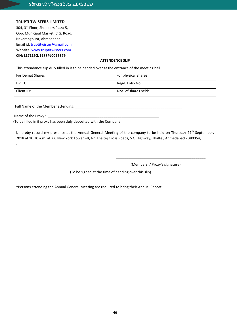# **TRUPTI TWISTERS LIMITED**

304, 3<sup>rd</sup> Floor, Shoppers Plaza-5, Email id: [truptitwister@gmail.com](mailto:truptitwister@gmail.com) Opp. Municipal Market, C.G. Road, Navarangpura, Ahmedabad, Website: [www.truptitwisters.com](http://www.truptitwisters.com/) **CIN: L17119GJ1988PLC096379**

# **ATTENDENCE SLIP**

This attendance slip duly filled in is to be handed over at the entrance of the meeting hall.

| <b>For Demat Shares</b> | For physical Shares  |
|-------------------------|----------------------|
| DP ID:                  | Regd. Folio No:      |
| Client ID:              | Nos. of shares held: |

Full Name of the Member attending:

Name of the Proxy : \_

.

(To be filled in if proxy has been duly deposited with the Company)

I, hereby record my presence at the Annual General Meeting of the company to be held on Thursday 27<sup>th</sup> September, 2018 at 10.30 a.m. at 22, New York Tower –B, Nr. Thaltej Cross Roads, S.G.Highway, Thaltej, Ahmedabad - 380054,

(Members' / Proxy's signature)

\_\_\_\_\_\_\_\_\_\_\_\_\_\_\_\_\_\_\_\_\_\_\_\_\_\_\_\_\_\_\_\_\_\_\_\_\_\_\_\_\_\_\_\_\_

(To be signed at the time of handing over this slip)

\*Persons attending the Annual General Meeting are required to bring their Annual Report.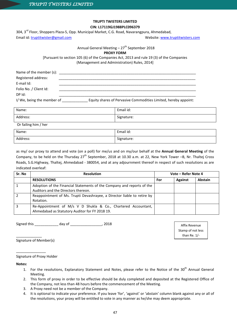# **TRUPTI TWISTERS LIMITED**

# **CIN: L17119GJ1988PLC096379**

304, 3<sup>rd</sup> Floor, Shoppers Plaza-5, Opp. Municipal Market, C.G. Road, Navarangpura, Ahmedabad, Email id: truptitwister@gmail.com

Website: [www.truptitwisters.com](http://www.truptitwisters.com/)

Annual General Meeting  $-27<sup>th</sup>$  September 2018

**PROXY FORM**

[Pursuant to section 105 (6) of the Companies Act, 2013 and rule 19 (3) of the Companies (Management and Administration) Rules, 2014]

| Name of the member (s):   |                                                                 |
|---------------------------|-----------------------------------------------------------------|
| Registered address:       |                                                                 |
| E-mail Id:                |                                                                 |
| Folio No. / Client Id:    |                                                                 |
| DP Id:                    |                                                                 |
| I/We, being the member of | Equity shares of Pervasive Commodities Limited, hereby appoint: |

| Name:                | Email id:  |  |
|----------------------|------------|--|
| Address:             | Signature: |  |
| Or failing him / her |            |  |
| Name:                | Email id:  |  |
| Address:             | Signature: |  |

as my/ our proxy to attend and vote (on a poll) for me/us and on my/our behalf at the **Annual General Meeting** of the Company, to be held on the Thursday 27<sup>th</sup> September, 2018 at 10.30 a.m. at 22, New York Tower –B, Nr. Thaltej Cross Roads, S.G.Highway, Thaltej, Ahmedabad - 380054, and at any adjournment thereof in respect of such resolutions as are indicated overleaf:

| Sr. No | <b>Resolution</b>                                                                                               |     | Vote - Refer Note 4 |         |
|--------|-----------------------------------------------------------------------------------------------------------------|-----|---------------------|---------|
|        | <b>RESOLUTIONS</b>                                                                                              | For | <b>Against</b>      | Abstain |
|        | Adoption of the Financial Statements of the Company and reports of the<br>Auditors and the Directors thereon.   |     |                     |         |
|        | Reappointment of Ms. Trupti Devashrayee, a Director liable to retire by<br>Rotation.                            |     |                     |         |
|        | Re-Appointment of M/s V D Shukla & Co., Chartered Accountant,<br>Ahmedabad as Statutory Auditor for FY 2018 19. |     |                     |         |

Signed this \_\_\_\_\_\_\_\_\_\_\_\_ day of \_\_\_\_\_\_\_\_\_\_\_\_\_\_\_\_, 2018

Affix Revenue Stamp of not less than Re. 1/-

Signature of Member(s)

\_\_\_\_\_\_\_\_\_\_\_\_\_

\_\_\_\_\_\_\_\_\_\_\_\_\_\_\_

Signature of Proxy Holder

**Notes:**

- 1. For the resolutions, Explanatory Statement and Notes, please refer to the Notice of the 30<sup>th</sup> Annual General Meeting.
- 2. This form of proxy in order to be effective should be duly completed and deposited at the Registered Office of the Company, not less than 48 hours before the commencement of the Meeting.
- 3. A Proxy need not be a member of the Company.
- 4. It is optional to indicate your preference. If you leave 'for', 'against' or 'abstain' column blank against any or all of the resolutions, your proxy will be entitled to vote in any manner as he/she may deem appropriate.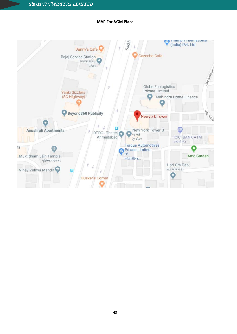Anushruti Apartments

भुक्तिधाम देशसर

 $\blacksquare$ 

Muktidham Jain Temple

Vinay Vidhya Mandir

its



 $\blacksquare$ 

DTDC - Thaltej

Ahmedabad

**Busker's Corner** 

Jay Ambertan

ATM

ઇચીચી બેંક

Hari Om Park હરિ ઓમ પાર્ક

 $\circ$ 

**ICICI BANK ATM** 

Amc Garden

New York Tower B

 $-$ યુ યોક

हैंऽ सेन्टर

e Private Limited

ઓટોમોટિવ્સ..

टोई

**Torque Automotives** 

# **MAP For AGM Place**